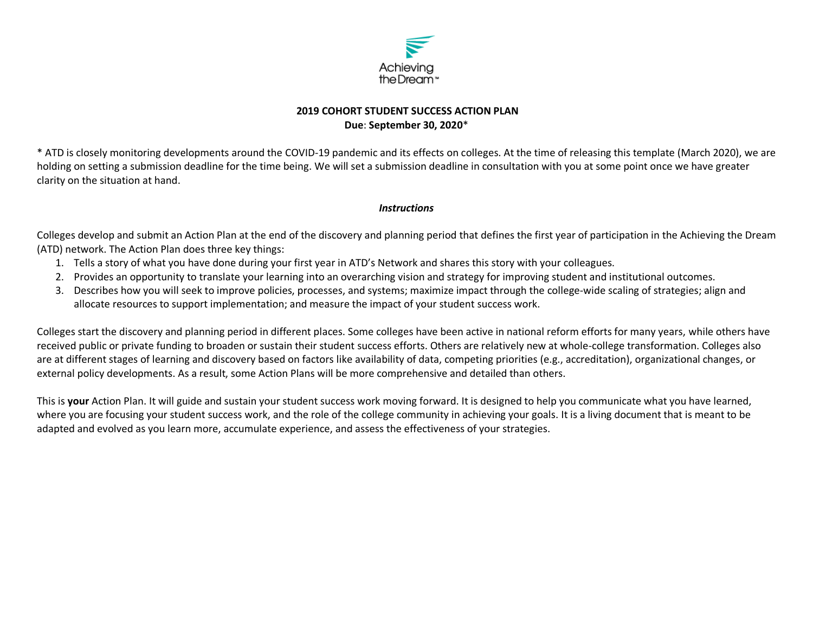

## **2019 COHORT STUDENT SUCCESS ACTION PLAN Due**: **September 30, 2020**\*

\* ATD is closely monitoring developments around the COVID-19 pandemic and its effects on colleges. At the time of releasing this template (March 2020), we are holding on setting a submission deadline for the time being. We will set a submission deadline in consultation with you at some point once we have greater clarity on the situation at hand.

#### *Instructions*

Colleges develop and submit an Action Plan at the end of the discovery and planning period that defines the first year of participation in the Achieving the Dream (ATD) network. The Action Plan does three key things:

- 1. Tells a story of what you have done during your first year in ATD's Network and shares this story with your colleagues.
- 2. Provides an opportunity to translate your learning into an overarching vision and strategy for improving student and institutional outcomes.
- 3. Describes how you will seek to improve policies, processes, and systems; maximize impact through the college-wide scaling of strategies; align and allocate resources to support implementation; and measure the impact of your student success work.

Colleges start the discovery and planning period in different places. Some colleges have been active in national reform efforts for many years, while others have received public or private funding to broaden or sustain their student success efforts. Others are relatively new at whole-college transformation. Colleges also are at different stages of learning and discovery based on factors like availability of data, competing priorities (e.g., accreditation), organizational changes, or external policy developments. As a result, some Action Plans will be more comprehensive and detailed than others.

This is **your** Action Plan. It will guide and sustain your student success work moving forward. It is designed to help you communicate what you have learned, where you are focusing your student success work, and the role of the college community in achieving your goals. It is a living document that is meant to be adapted and evolved as you learn more, accumulate experience, and assess the effectiveness of your strategies.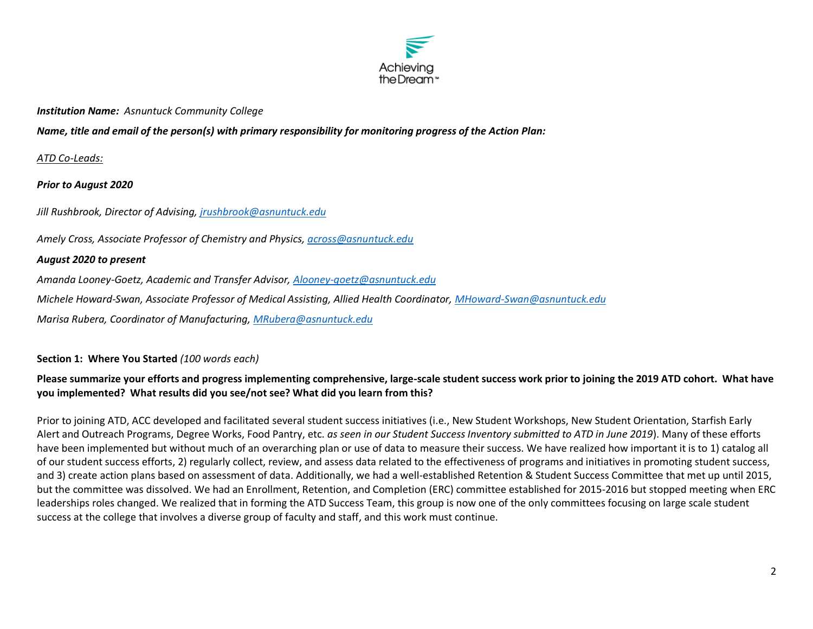

#### *Institution Name: Asnuntuck Community College*

*Name, title and email of the person(s) with primary responsibility for monitoring progress of the Action Plan:* 

#### *ATD Co-Leads:*

*Prior to August 2020*

*Jill Rushbrook, Director of Advising, [jrushbrook@asnuntuck.edu](mailto:jrushbrook@asnuntuck.edu)*

*Amely Cross, Associate Professor of Chemistry and Physics[, across@asnuntuck.edu](mailto:across@asnuntuck.edu)*

#### *August 2020 to present*

*Amanda Looney-Goetz, Academic and Transfer Advisor, [Alooney-goetz@asnuntuck.edu](mailto:Alooney-goetz@asnuntuck.edu)*

*Michele Howard-Swan, Associate Professor of Medical Assisting, Allied Health Coordinator, [MHoward-Swan@asnuntuck.edu](mailto:MHoward-Swan@asnuntuck.edu)*

*Marisa Rubera, Coordinator of Manufacturing, [MRubera@asnuntuck.edu](mailto:MRubera@asnuntuck.edu)*

#### **Section 1: Where You Started** *(100 words each)*

## **Please summarize your efforts and progress implementing comprehensive, large-scale student success work prior to joining the 2019 ATD cohort. What have you implemented? What results did you see/not see? What did you learn from this?**

Prior to joining ATD, ACC developed and facilitated several student success initiatives (i.e., New Student Workshops, New Student Orientation, Starfish Early Alert and Outreach Programs, Degree Works, Food Pantry, etc. *as seen in our Student Success Inventory submitted to ATD in June 2019*). Many of these efforts have been implemented but without much of an overarching plan or use of data to measure their success. We have realized how important it is to 1) catalog all of our student success efforts, 2) regularly collect, review, and assess data related to the effectiveness of programs and initiatives in promoting student success, and 3) create action plans based on assessment of data. Additionally, we had a well-established Retention & Student Success Committee that met up until 2015, but the committee was dissolved. We had an Enrollment, Retention, and Completion (ERC) committee established for 2015-2016 but stopped meeting when ERC leaderships roles changed. We realized that in forming the ATD Success Team, this group is now one of the only committees focusing on large scale student success at the college that involves a diverse group of faculty and staff, and this work must continue.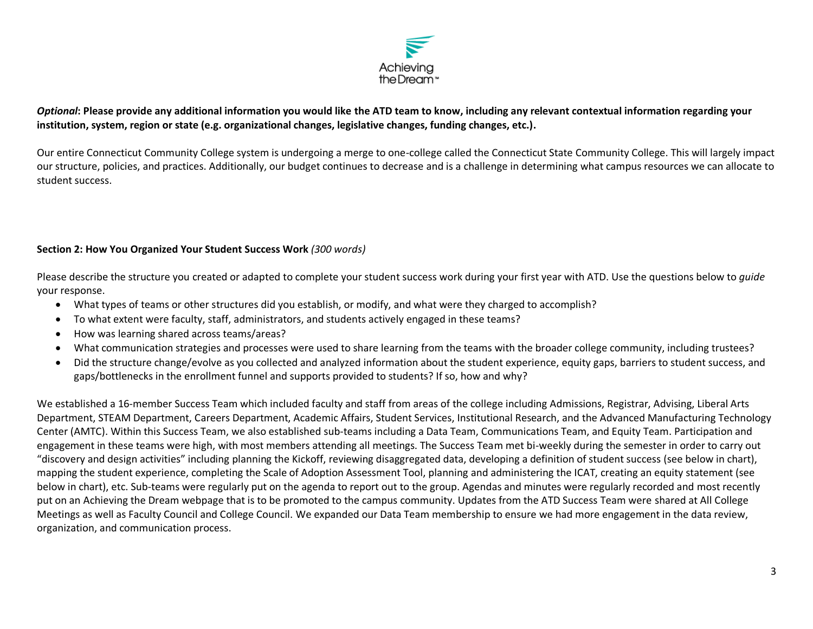

## *Optional***: Please provide any additional information you would like the ATD team to know, including any relevant contextual information regarding your institution, system, region or state (e.g. organizational changes, legislative changes, funding changes, etc.).**

Our entire Connecticut Community College system is undergoing a merge to one-college called the Connecticut State Community College. This will largely impact our structure, policies, and practices. Additionally, our budget continues to decrease and is a challenge in determining what campus resources we can allocate to student success.

## **Section 2: How You Organized Your Student Success Work** *(300 words)*

Please describe the structure you created or adapted to complete your student success work during your first year with ATD. Use the questions below to *guide* your response.

- What types of teams or other structures did you establish, or modify, and what were they charged to accomplish?
- To what extent were faculty, staff, administrators, and students actively engaged in these teams?
- How was learning shared across teams/areas?
- What communication strategies and processes were used to share learning from the teams with the broader college community, including trustees?
- Did the structure change/evolve as you collected and analyzed information about the student experience, equity gaps, barriers to student success, and gaps/bottlenecks in the enrollment funnel and supports provided to students? If so, how and why?

We established a 16-member Success Team which included faculty and staff from areas of the college including Admissions, Registrar, Advising, Liberal Arts Department, STEAM Department, Careers Department, Academic Affairs, Student Services, Institutional Research, and the Advanced Manufacturing Technology Center (AMTC). Within this Success Team, we also established sub-teams including a Data Team, Communications Team, and Equity Team. Participation and engagement in these teams were high, with most members attending all meetings. The Success Team met bi-weekly during the semester in order to carry out "discovery and design activities" including planning the Kickoff, reviewing disaggregated data, developing a definition of student success (see below in chart), mapping the student experience, completing the Scale of Adoption Assessment Tool, planning and administering the ICAT, creating an equity statement (see below in chart), etc. Sub-teams were regularly put on the agenda to report out to the group. Agendas and minutes were regularly recorded and most recently put on an Achieving the Dream webpage that is to be promoted to the campus community. Updates from the ATD Success Team were shared at All College Meetings as well as Faculty Council and College Council. We expanded our Data Team membership to ensure we had more engagement in the data review, organization, and communication process.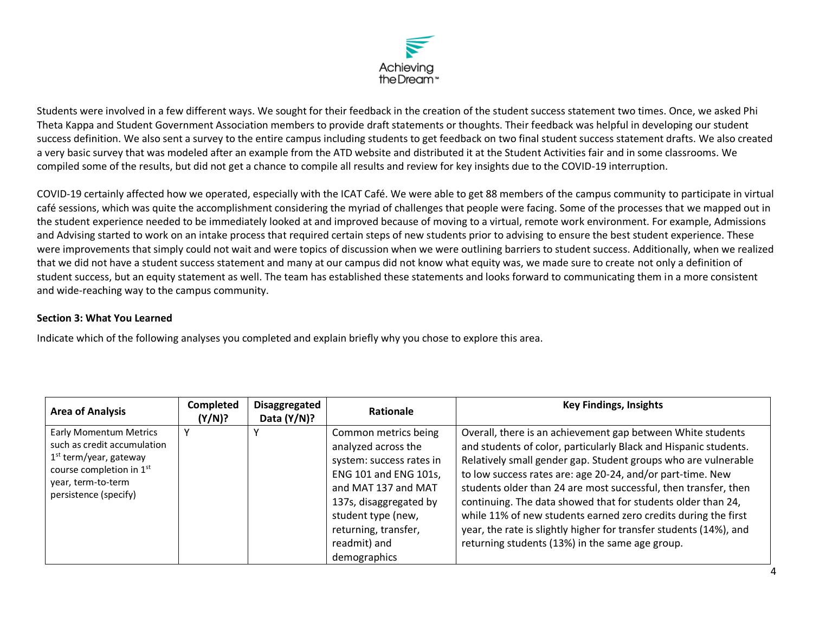

Students were involved in a few different ways. We sought for their feedback in the creation of the student success statement two times. Once, we asked Phi Theta Kappa and Student Government Association members to provide draft statements or thoughts. Their feedback was helpful in developing our student success definition. We also sent a survey to the entire campus including students to get feedback on two final student success statement drafts. We also created a very basic survey that was modeled after an example from the ATD website and distributed it at the Student Activities fair and in some classrooms. We compiled some of the results, but did not get a chance to compile all results and review for key insights due to the COVID-19 interruption.

COVID-19 certainly affected how we operated, especially with the ICAT Café. We were able to get 88 members of the campus community to participate in virtual café sessions, which was quite the accomplishment considering the myriad of challenges that people were facing. Some of the processes that we mapped out in the student experience needed to be immediately looked at and improved because of moving to a virtual, remote work environment. For example, Admissions and Advising started to work on an intake process that required certain steps of new students prior to advising to ensure the best student experience. These were improvements that simply could not wait and were topics of discussion when we were outlining barriers to student success. Additionally, when we realized that we did not have a student success statement and many at our campus did not know what equity was, we made sure to create not only a definition of student success, but an equity statement as well. The team has established these statements and looks forward to communicating them in a more consistent and wide-reaching way to the campus community.

#### **Section 3: What You Learned**

Indicate which of the following analyses you completed and explain briefly why you chose to explore this area.

| <b>Area of Analysis</b>                                                                                                                                             | Completed<br>(Y/N)? | <b>Disaggregated</b><br>Data $(Y/N)$ ? | Rationale                                                                                                                                                                                                                       | <b>Key Findings, Insights</b>                                                                                                                                                                                                                                                                                                                                                                                                                                                                                                                                                                 |
|---------------------------------------------------------------------------------------------------------------------------------------------------------------------|---------------------|----------------------------------------|---------------------------------------------------------------------------------------------------------------------------------------------------------------------------------------------------------------------------------|-----------------------------------------------------------------------------------------------------------------------------------------------------------------------------------------------------------------------------------------------------------------------------------------------------------------------------------------------------------------------------------------------------------------------------------------------------------------------------------------------------------------------------------------------------------------------------------------------|
| <b>Early Momentum Metrics</b><br>such as credit accumulation<br>$1st$ term/year, gateway<br>course completion in 1st<br>year, term-to-term<br>persistence (specify) |                     |                                        | Common metrics being<br>analyzed across the<br>system: success rates in<br>ENG 101 and ENG 101s,<br>and MAT 137 and MAT<br>137s, disaggregated by<br>student type (new,<br>returning, transfer,<br>readmit) and<br>demographics | Overall, there is an achievement gap between White students<br>and students of color, particularly Black and Hispanic students.<br>Relatively small gender gap. Student groups who are vulnerable<br>to low success rates are: age 20-24, and/or part-time. New<br>students older than 24 are most successful, then transfer, then<br>continuing. The data showed that for students older than 24,<br>while 11% of new students earned zero credits during the first<br>year, the rate is slightly higher for transfer students (14%), and<br>returning students (13%) in the same age group. |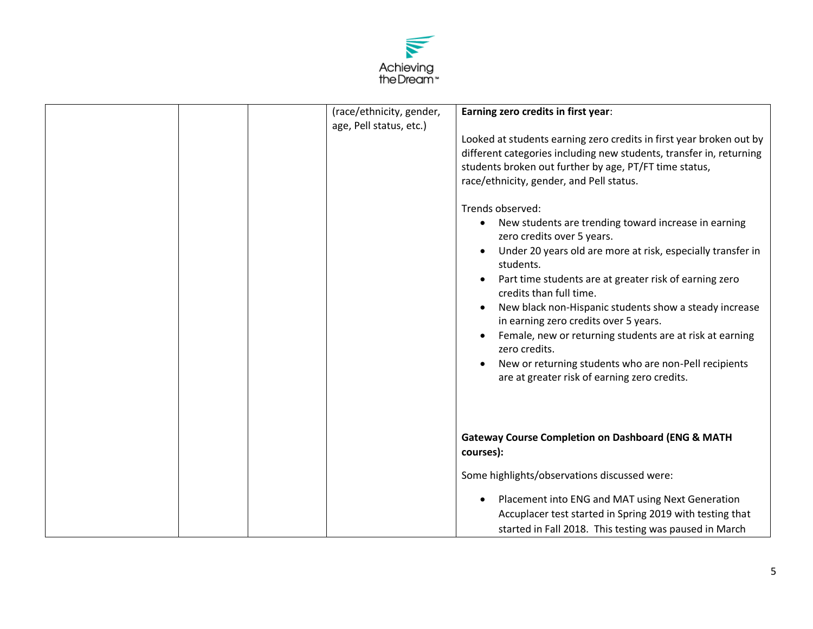

|  | (race/ethnicity, gender,<br>age, Pell status, etc.) | Earning zero credits in first year:                                                                                                                                                                                                                                                                                                                                                                                                                                                                                                                                           |
|--|-----------------------------------------------------|-------------------------------------------------------------------------------------------------------------------------------------------------------------------------------------------------------------------------------------------------------------------------------------------------------------------------------------------------------------------------------------------------------------------------------------------------------------------------------------------------------------------------------------------------------------------------------|
|  |                                                     | Looked at students earning zero credits in first year broken out by<br>different categories including new students, transfer in, returning<br>students broken out further by age, PT/FT time status,<br>race/ethnicity, gender, and Pell status.                                                                                                                                                                                                                                                                                                                              |
|  |                                                     | Trends observed:<br>New students are trending toward increase in earning<br>$\bullet$<br>zero credits over 5 years.<br>Under 20 years old are more at risk, especially transfer in<br>students.<br>Part time students are at greater risk of earning zero<br>credits than full time.<br>New black non-Hispanic students show a steady increase<br>in earning zero credits over 5 years.<br>Female, new or returning students are at risk at earning<br>zero credits.<br>New or returning students who are non-Pell recipients<br>are at greater risk of earning zero credits. |
|  |                                                     | <b>Gateway Course Completion on Dashboard (ENG &amp; MATH</b><br>courses):                                                                                                                                                                                                                                                                                                                                                                                                                                                                                                    |
|  |                                                     | Some highlights/observations discussed were:<br>Placement into ENG and MAT using Next Generation<br>$\bullet$<br>Accuplacer test started in Spring 2019 with testing that<br>started in Fall 2018. This testing was paused in March                                                                                                                                                                                                                                                                                                                                           |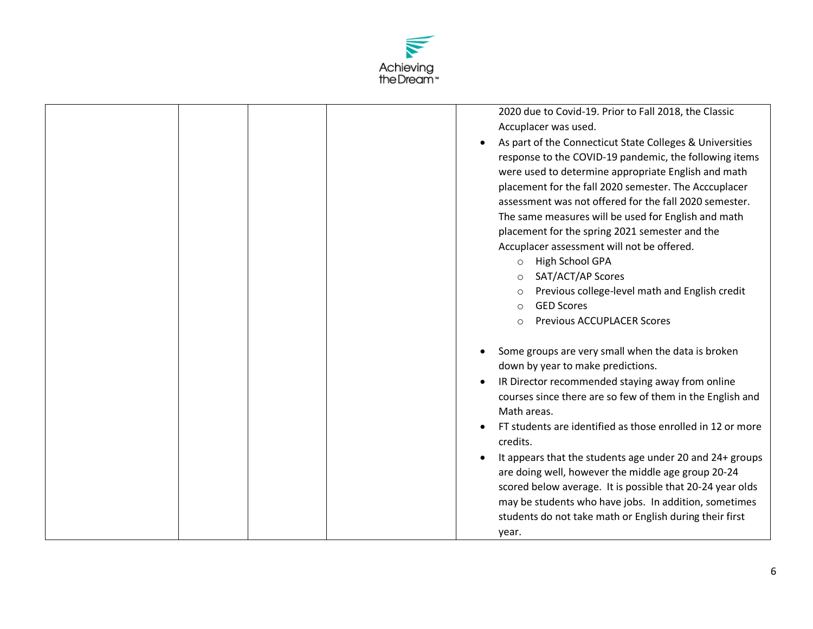

|  | 2020 due to Covid-19. Prior to Fall 2018, the Classic<br>Accuplacer was used.<br>As part of the Connecticut State Colleges & Universities<br>response to the COVID-19 pandemic, the following items<br>were used to determine appropriate English and math<br>placement for the fall 2020 semester. The Acccuplacer<br>assessment was not offered for the fall 2020 semester.<br>The same measures will be used for English and math<br>placement for the spring 2021 semester and the<br>Accuplacer assessment will not be offered.<br><b>High School GPA</b><br>$\circ$<br>SAT/ACT/AP Scores<br>$\circ$<br>Previous college-level math and English credit<br>$\circ$<br><b>GED Scores</b><br>$\circ$ |
|--|--------------------------------------------------------------------------------------------------------------------------------------------------------------------------------------------------------------------------------------------------------------------------------------------------------------------------------------------------------------------------------------------------------------------------------------------------------------------------------------------------------------------------------------------------------------------------------------------------------------------------------------------------------------------------------------------------------|
|  | <b>Previous ACCUPLACER Scores</b><br>$\circ$                                                                                                                                                                                                                                                                                                                                                                                                                                                                                                                                                                                                                                                           |
|  | Some groups are very small when the data is broken<br>down by year to make predictions.<br>IR Director recommended staying away from online<br>courses since there are so few of them in the English and<br>Math areas.<br>FT students are identified as those enrolled in 12 or more<br>credits.<br>It appears that the students age under 20 and 24+ groups<br>are doing well, however the middle age group 20-24<br>scored below average. It is possible that 20-24 year olds<br>may be students who have jobs. In addition, sometimes<br>students do not take math or English during their first<br>year.                                                                                          |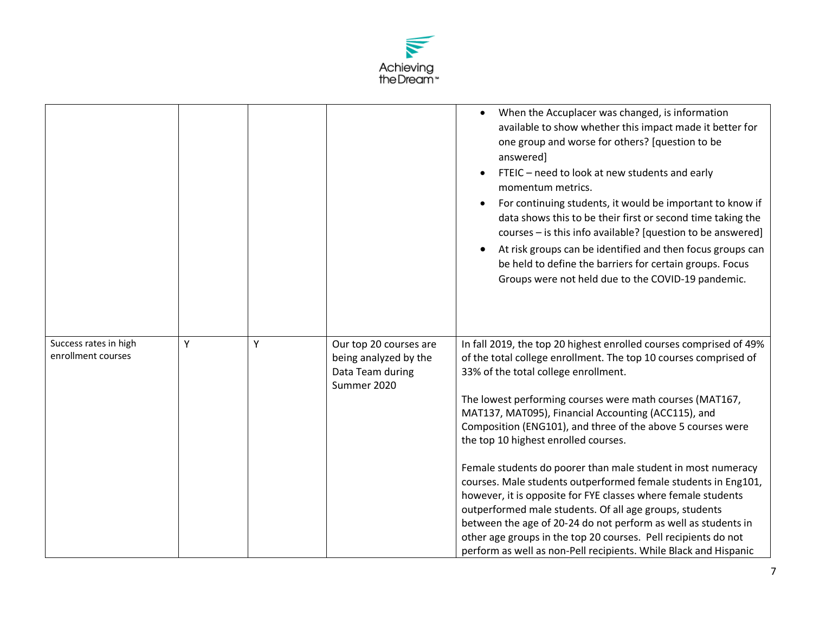

|                                             |   |   |                                                                                    | When the Accuplacer was changed, is information<br>available to show whether this impact made it better for<br>one group and worse for others? [question to be<br>answered]<br>FTEIC - need to look at new students and early<br>momentum metrics.<br>For continuing students, it would be important to know if<br>data shows this to be their first or second time taking the<br>courses - is this info available? [question to be answered]<br>At risk groups can be identified and then focus groups can<br>be held to define the barriers for certain groups. Focus<br>Groups were not held due to the COVID-19 pandemic.                                                                                                                                                                                                                                                  |
|---------------------------------------------|---|---|------------------------------------------------------------------------------------|--------------------------------------------------------------------------------------------------------------------------------------------------------------------------------------------------------------------------------------------------------------------------------------------------------------------------------------------------------------------------------------------------------------------------------------------------------------------------------------------------------------------------------------------------------------------------------------------------------------------------------------------------------------------------------------------------------------------------------------------------------------------------------------------------------------------------------------------------------------------------------|
| Success rates in high<br>enrollment courses | Y | Υ | Our top 20 courses are<br>being analyzed by the<br>Data Team during<br>Summer 2020 | In fall 2019, the top 20 highest enrolled courses comprised of 49%<br>of the total college enrollment. The top 10 courses comprised of<br>33% of the total college enrollment.<br>The lowest performing courses were math courses (MAT167,<br>MAT137, MAT095), Financial Accounting (ACC115), and<br>Composition (ENG101), and three of the above 5 courses were<br>the top 10 highest enrolled courses.<br>Female students do poorer than male student in most numeracy<br>courses. Male students outperformed female students in Eng101,<br>however, it is opposite for FYE classes where female students<br>outperformed male students. Of all age groups, students<br>between the age of 20-24 do not perform as well as students in<br>other age groups in the top 20 courses. Pell recipients do not<br>perform as well as non-Pell recipients. While Black and Hispanic |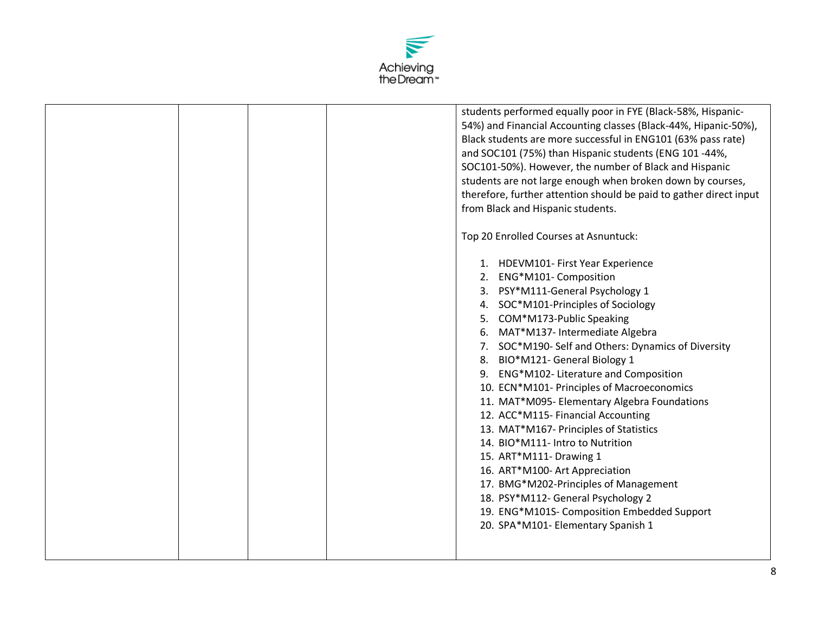

|  |  | students performed equally poor in FYE (Black-58%, Hispanic-<br>54%) and Financial Accounting classes (Black-44%, Hipanic-50%),<br>Black students are more successful in ENG101 (63% pass rate)<br>and SOC101 (75%) than Hispanic students (ENG 101-44%,<br>SOC101-50%). However, the number of Black and Hispanic<br>students are not large enough when broken down by courses,<br>therefore, further attention should be paid to gather direct input<br>from Black and Hispanic students.                                                                                                                                                                                                                                                                                                      |
|--|--|--------------------------------------------------------------------------------------------------------------------------------------------------------------------------------------------------------------------------------------------------------------------------------------------------------------------------------------------------------------------------------------------------------------------------------------------------------------------------------------------------------------------------------------------------------------------------------------------------------------------------------------------------------------------------------------------------------------------------------------------------------------------------------------------------|
|  |  | Top 20 Enrolled Courses at Asnuntuck:                                                                                                                                                                                                                                                                                                                                                                                                                                                                                                                                                                                                                                                                                                                                                            |
|  |  | 1. HDEVM101- First Year Experience<br>ENG*M101- Composition<br>3. PSY*M111-General Psychology 1<br>4. SOC*M101-Principles of Sociology<br>COM*M173-Public Speaking<br>MAT*M137- Intermediate Algebra<br>6.<br>7. SOC*M190- Self and Others: Dynamics of Diversity<br>8. BIO*M121- General Biology 1<br>9. ENG*M102-Literature and Composition<br>10. ECN*M101- Principles of Macroeconomics<br>11. MAT*M095- Elementary Algebra Foundations<br>12. ACC*M115- Financial Accounting<br>13. MAT*M167- Principles of Statistics<br>14. BIO*M111- Intro to Nutrition<br>15. ART*M111- Drawing 1<br>16. ART*M100- Art Appreciation<br>17. BMG*M202-Principles of Management<br>18. PSY*M112- General Psychology 2<br>19. ENG*M101S- Composition Embedded Support<br>20. SPA*M101- Elementary Spanish 1 |
|  |  |                                                                                                                                                                                                                                                                                                                                                                                                                                                                                                                                                                                                                                                                                                                                                                                                  |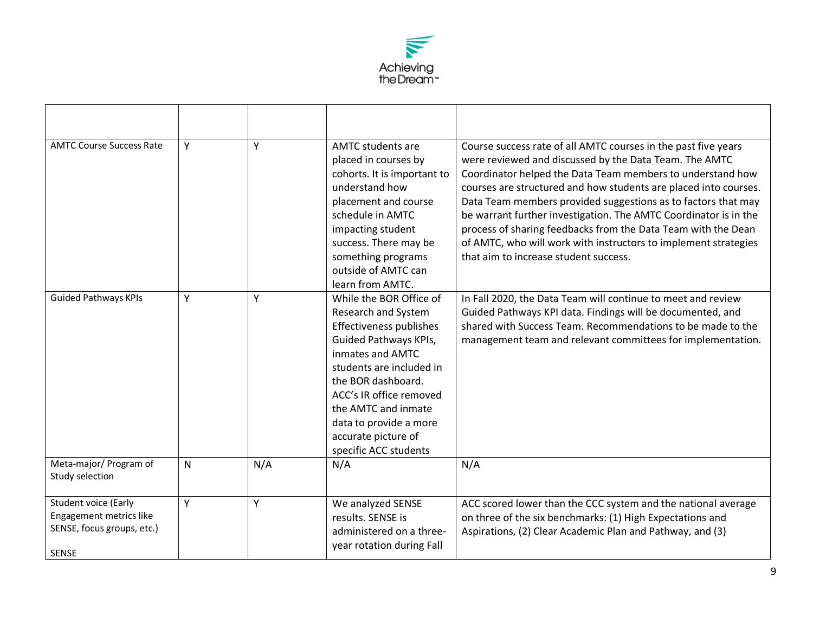

| <b>AMTC Course Success Rate</b>                                                        | Y | Y   | <b>AMTC students are</b><br>placed in courses by<br>cohorts. It is important to<br>understand how<br>placement and course<br>schedule in AMTC<br>impacting student<br>success. There may be<br>something programs<br>outside of AMTC can<br>learn from AMTC.                                         | Course success rate of all AMTC courses in the past five years<br>were reviewed and discussed by the Data Team. The AMTC<br>Coordinator helped the Data Team members to understand how<br>courses are structured and how students are placed into courses.<br>Data Team members provided suggestions as to factors that may<br>be warrant further investigation. The AMTC Coordinator is in the<br>process of sharing feedbacks from the Data Team with the Dean<br>of AMTC, who will work with instructors to implement strategies<br>that aim to increase student success. |
|----------------------------------------------------------------------------------------|---|-----|------------------------------------------------------------------------------------------------------------------------------------------------------------------------------------------------------------------------------------------------------------------------------------------------------|------------------------------------------------------------------------------------------------------------------------------------------------------------------------------------------------------------------------------------------------------------------------------------------------------------------------------------------------------------------------------------------------------------------------------------------------------------------------------------------------------------------------------------------------------------------------------|
| <b>Guided Pathways KPIs</b>                                                            | Y | Υ   | While the BOR Office of<br>Research and System<br>Effectiveness publishes<br>Guided Pathways KPIs,<br>inmates and AMTC<br>students are included in<br>the BOR dashboard.<br>ACC's IR office removed<br>the AMTC and inmate<br>data to provide a more<br>accurate picture of<br>specific ACC students | In Fall 2020, the Data Team will continue to meet and review<br>Guided Pathways KPI data. Findings will be documented, and<br>shared with Success Team. Recommendations to be made to the<br>management team and relevant committees for implementation.                                                                                                                                                                                                                                                                                                                     |
| Meta-major/ Program of<br>Study selection                                              | N | N/A | N/A                                                                                                                                                                                                                                                                                                  | N/A                                                                                                                                                                                                                                                                                                                                                                                                                                                                                                                                                                          |
| Student voice (Early<br>Engagement metrics like<br>SENSE, focus groups, etc.)<br>SENSE | Y | Υ   | We analyzed SENSE<br>results. SENSE is<br>administered on a three-<br>year rotation during Fall                                                                                                                                                                                                      | ACC scored lower than the CCC system and the national average<br>on three of the six benchmarks: (1) High Expectations and<br>Aspirations, (2) Clear Academic Plan and Pathway, and (3)                                                                                                                                                                                                                                                                                                                                                                                      |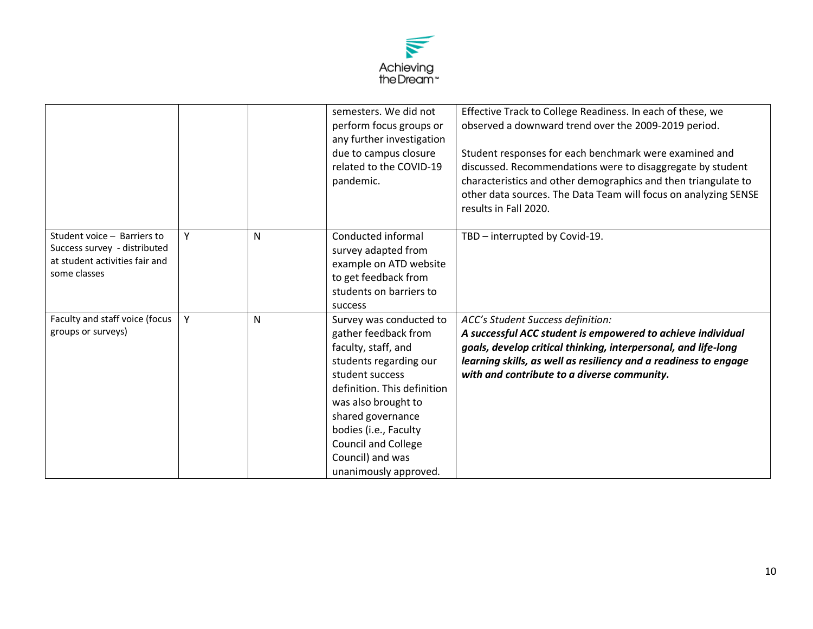

|                                                                                                               |   |   | semesters. We did not<br>perform focus groups or<br>any further investigation<br>due to campus closure<br>related to the COVID-19<br>pandemic.                                                                                                                                                     | Effective Track to College Readiness. In each of these, we<br>observed a downward trend over the 2009-2019 period.<br>Student responses for each benchmark were examined and<br>discussed. Recommendations were to disaggregate by student<br>characteristics and other demographics and then triangulate to<br>other data sources. The Data Team will focus on analyzing SENSE<br>results in Fall 2020. |
|---------------------------------------------------------------------------------------------------------------|---|---|----------------------------------------------------------------------------------------------------------------------------------------------------------------------------------------------------------------------------------------------------------------------------------------------------|----------------------------------------------------------------------------------------------------------------------------------------------------------------------------------------------------------------------------------------------------------------------------------------------------------------------------------------------------------------------------------------------------------|
| Student voice - Barriers to<br>Success survey - distributed<br>at student activities fair and<br>some classes | Y | N | Conducted informal<br>survey adapted from<br>example on ATD website<br>to get feedback from<br>students on barriers to<br>success                                                                                                                                                                  | TBD - interrupted by Covid-19.                                                                                                                                                                                                                                                                                                                                                                           |
| Faculty and staff voice (focus<br>groups or surveys)                                                          | Y | N | Survey was conducted to<br>gather feedback from<br>faculty, staff, and<br>students regarding our<br>student success<br>definition. This definition<br>was also brought to<br>shared governance<br>bodies (i.e., Faculty<br><b>Council and College</b><br>Council) and was<br>unanimously approved. | ACC's Student Success definition:<br>A successful ACC student is empowered to achieve individual<br>goals, develop critical thinking, interpersonal, and life-long<br>learning skills, as well as resiliency and a readiness to engage<br>with and contribute to a diverse community.                                                                                                                    |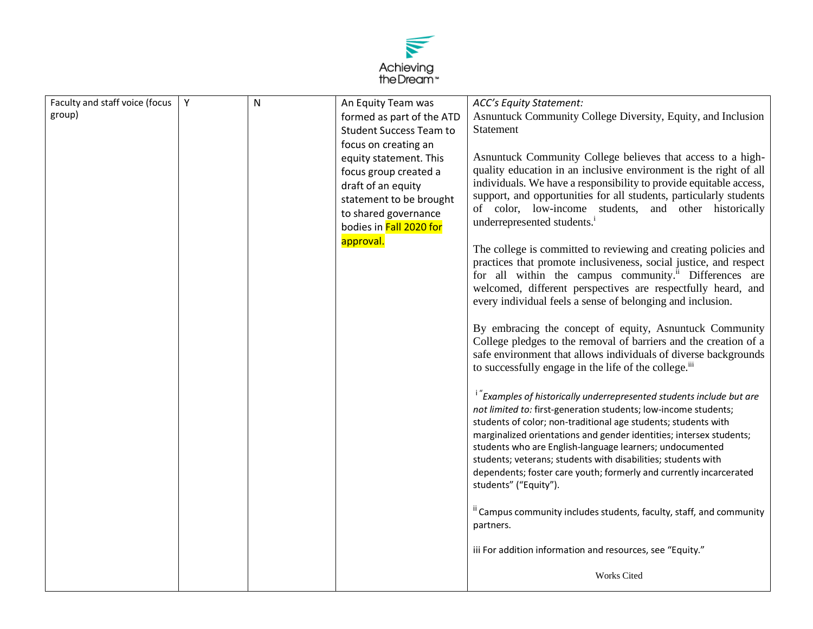

| Faculty and staff voice (focus | Y | $\mathsf{N}$ | An Equity Team was             | <b>ACC's Equity Statement:</b>                                                                                                                                                                                                                                                                                                                                                                                                                                                                                                                                                                                                                                                                                                                                                                                                                                                                                                                                                                                                                                                                                                                                                                                                  |
|--------------------------------|---|--------------|--------------------------------|---------------------------------------------------------------------------------------------------------------------------------------------------------------------------------------------------------------------------------------------------------------------------------------------------------------------------------------------------------------------------------------------------------------------------------------------------------------------------------------------------------------------------------------------------------------------------------------------------------------------------------------------------------------------------------------------------------------------------------------------------------------------------------------------------------------------------------------------------------------------------------------------------------------------------------------------------------------------------------------------------------------------------------------------------------------------------------------------------------------------------------------------------------------------------------------------------------------------------------|
| group)                         |   |              | formed as part of the ATD      | Asnuntuck Community College Diversity, Equity, and Inclusion                                                                                                                                                                                                                                                                                                                                                                                                                                                                                                                                                                                                                                                                                                                                                                                                                                                                                                                                                                                                                                                                                                                                                                    |
|                                |   |              | <b>Student Success Team to</b> | <b>Statement</b>                                                                                                                                                                                                                                                                                                                                                                                                                                                                                                                                                                                                                                                                                                                                                                                                                                                                                                                                                                                                                                                                                                                                                                                                                |
|                                |   |              | focus on creating an           |                                                                                                                                                                                                                                                                                                                                                                                                                                                                                                                                                                                                                                                                                                                                                                                                                                                                                                                                                                                                                                                                                                                                                                                                                                 |
|                                |   |              | equity statement. This         | Asnuntuck Community College believes that access to a high-                                                                                                                                                                                                                                                                                                                                                                                                                                                                                                                                                                                                                                                                                                                                                                                                                                                                                                                                                                                                                                                                                                                                                                     |
|                                |   |              | focus group created a          | quality education in an inclusive environment is the right of all                                                                                                                                                                                                                                                                                                                                                                                                                                                                                                                                                                                                                                                                                                                                                                                                                                                                                                                                                                                                                                                                                                                                                               |
|                                |   |              | draft of an equity             | individuals. We have a responsibility to provide equitable access,                                                                                                                                                                                                                                                                                                                                                                                                                                                                                                                                                                                                                                                                                                                                                                                                                                                                                                                                                                                                                                                                                                                                                              |
|                                |   |              | statement to be brought        | support, and opportunities for all students, particularly students                                                                                                                                                                                                                                                                                                                                                                                                                                                                                                                                                                                                                                                                                                                                                                                                                                                                                                                                                                                                                                                                                                                                                              |
|                                |   |              | to shared governance           | of color, low-income students, and other historically                                                                                                                                                                                                                                                                                                                                                                                                                                                                                                                                                                                                                                                                                                                                                                                                                                                                                                                                                                                                                                                                                                                                                                           |
|                                |   |              | bodies in Fall 2020 for        | underrepresented students. <sup>i</sup>                                                                                                                                                                                                                                                                                                                                                                                                                                                                                                                                                                                                                                                                                                                                                                                                                                                                                                                                                                                                                                                                                                                                                                                         |
|                                |   |              | approval.                      | The college is committed to reviewing and creating policies and<br>practices that promote inclusiveness, social justice, and respect<br>for all within the campus community. <sup>ii</sup> Differences are<br>welcomed, different perspectives are respectfully heard, and<br>every individual feels a sense of belonging and inclusion.<br>By embracing the concept of equity, Asnuntuck Community<br>College pledges to the removal of barriers and the creation of a<br>safe environment that allows individuals of diverse backgrounds<br>to successfully engage in the life of the college. <sup>iii</sup><br><sup>i "</sup> Examples of historically underrepresented students include but are<br>not limited to: first-generation students; low-income students;<br>students of color; non-traditional age students; students with<br>marginalized orientations and gender identities; intersex students;<br>students who are English-language learners; undocumented<br>students; veterans; students with disabilities; students with<br>dependents; foster care youth; formerly and currently incarcerated<br>students" ("Equity").<br><sup>ii</sup> Campus community includes students, faculty, staff, and community |
|                                |   |              |                                | partners.                                                                                                                                                                                                                                                                                                                                                                                                                                                                                                                                                                                                                                                                                                                                                                                                                                                                                                                                                                                                                                                                                                                                                                                                                       |
|                                |   |              |                                | iii For addition information and resources, see "Equity."                                                                                                                                                                                                                                                                                                                                                                                                                                                                                                                                                                                                                                                                                                                                                                                                                                                                                                                                                                                                                                                                                                                                                                       |
|                                |   |              |                                | <b>Works Cited</b>                                                                                                                                                                                                                                                                                                                                                                                                                                                                                                                                                                                                                                                                                                                                                                                                                                                                                                                                                                                                                                                                                                                                                                                                              |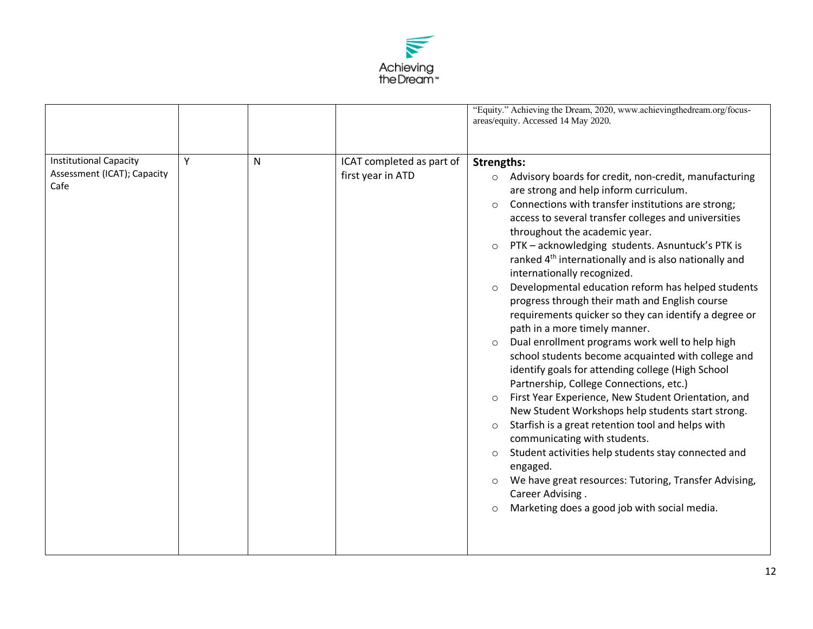

|                                                                      |   |    |                                                | "Equity." Achieving the Dream, 2020, www.achievingthedream.org/focus-<br>areas/equity. Accessed 14 May 2020.                                                                                                                                                                                                                                                                                                                                                                                                                                                                                                                                                                                                                                                                                                                                                                                                                                                                                                                                                                                                                                                                                                                                                                                                                                          |
|----------------------------------------------------------------------|---|----|------------------------------------------------|-------------------------------------------------------------------------------------------------------------------------------------------------------------------------------------------------------------------------------------------------------------------------------------------------------------------------------------------------------------------------------------------------------------------------------------------------------------------------------------------------------------------------------------------------------------------------------------------------------------------------------------------------------------------------------------------------------------------------------------------------------------------------------------------------------------------------------------------------------------------------------------------------------------------------------------------------------------------------------------------------------------------------------------------------------------------------------------------------------------------------------------------------------------------------------------------------------------------------------------------------------------------------------------------------------------------------------------------------------|
| <b>Institutional Capacity</b><br>Assessment (ICAT); Capacity<br>Cafe | Y | N. | ICAT completed as part of<br>first year in ATD | <b>Strengths:</b><br>Advisory boards for credit, non-credit, manufacturing<br>$\circ$<br>are strong and help inform curriculum.<br>Connections with transfer institutions are strong;<br>$\circ$<br>access to several transfer colleges and universities<br>throughout the academic year.<br>PTK - acknowledging students. Asnuntuck's PTK is<br>$\circ$<br>ranked 4 <sup>th</sup> internationally and is also nationally and<br>internationally recognized.<br>Developmental education reform has helped students<br>$\circ$<br>progress through their math and English course<br>requirements quicker so they can identify a degree or<br>path in a more timely manner.<br>Dual enrollment programs work well to help high<br>$\circ$<br>school students become acquainted with college and<br>identify goals for attending college (High School<br>Partnership, College Connections, etc.)<br>First Year Experience, New Student Orientation, and<br>$\circ$<br>New Student Workshops help students start strong.<br>Starfish is a great retention tool and helps with<br>$\circ$<br>communicating with students.<br>Student activities help students stay connected and<br>$\circ$<br>engaged.<br>We have great resources: Tutoring, Transfer Advising,<br>$\circ$<br>Career Advising.<br>Marketing does a good job with social media.<br>$\circ$ |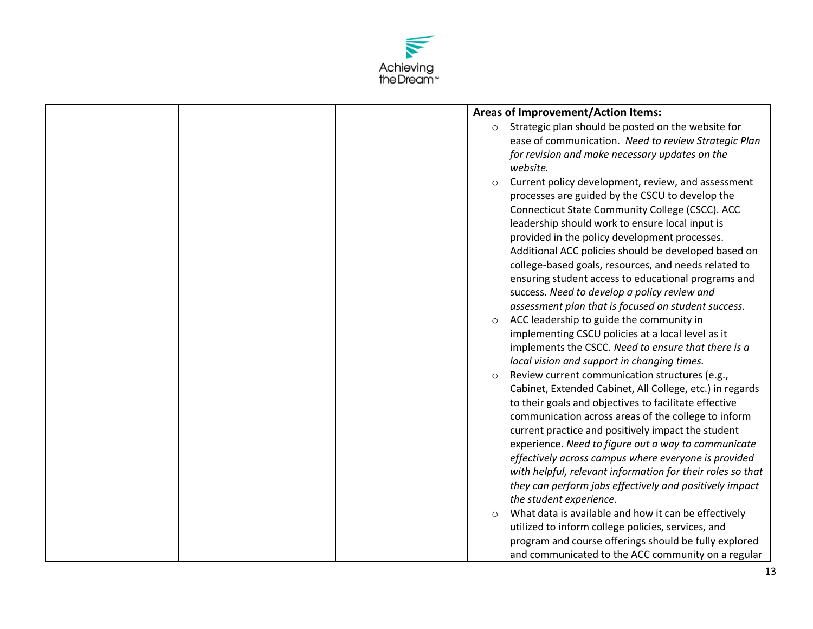

|  | <b>Areas of Improvement/Action Items:</b>                       |
|--|-----------------------------------------------------------------|
|  | Strategic plan should be posted on the website for<br>$\circ$   |
|  | ease of communication. Need to review Strategic Plan            |
|  | for revision and make necessary updates on the                  |
|  | website.                                                        |
|  | Current policy development, review, and assessment<br>$\circ$   |
|  | processes are guided by the CSCU to develop the                 |
|  | Connecticut State Community College (CSCC). ACC                 |
|  | leadership should work to ensure local input is                 |
|  | provided in the policy development processes.                   |
|  | Additional ACC policies should be developed based on            |
|  | college-based goals, resources, and needs related to            |
|  | ensuring student access to educational programs and             |
|  | success. Need to develop a policy review and                    |
|  | assessment plan that is focused on student success.             |
|  | ACC leadership to guide the community in<br>$\circ$             |
|  | implementing CSCU policies at a local level as it               |
|  | implements the CSCC. Need to ensure that there is a             |
|  | local vision and support in changing times.                     |
|  | Review current communication structures (e.g.,<br>$\circ$       |
|  | Cabinet, Extended Cabinet, All College, etc.) in regards        |
|  | to their goals and objectives to facilitate effective           |
|  | communication across areas of the college to inform             |
|  | current practice and positively impact the student              |
|  | experience. Need to figure out a way to communicate             |
|  | effectively across campus where everyone is provided            |
|  | with helpful, relevant information for their roles so that      |
|  | they can perform jobs effectively and positively impact         |
|  | the student experience.                                         |
|  | What data is available and how it can be effectively<br>$\circ$ |
|  | utilized to inform college policies, services, and              |
|  | program and course offerings should be fully explored           |
|  | and communicated to the ACC community on a regular              |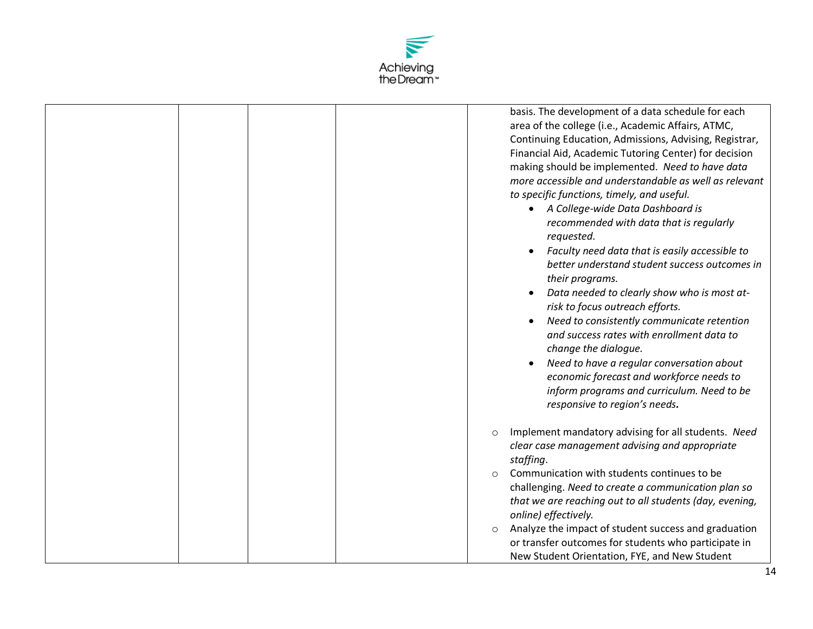

|  |         | basis. The development of a data schedule for each<br>area of the college (i.e., Academic Affairs, ATMC,<br>Continuing Education, Admissions, Advising, Registrar,<br>Financial Aid, Academic Tutoring Center) for decision<br>making should be implemented. Need to have data<br>more accessible and understandable as well as relevant<br>to specific functions, timely, and useful.<br>A College-wide Data Dashboard is<br>$\bullet$<br>recommended with data that is regularly<br>requested.<br>Faculty need data that is easily accessible to<br>$\bullet$<br>better understand student success outcomes in<br>their programs.<br>Data needed to clearly show who is most at-<br>risk to focus outreach efforts.<br>Need to consistently communicate retention<br>and success rates with enrollment data to<br>change the dialogue.<br>Need to have a regular conversation about<br>economic forecast and workforce needs to<br>inform programs and curriculum. Need to be<br>responsive to region's needs. |
|--|---------|------------------------------------------------------------------------------------------------------------------------------------------------------------------------------------------------------------------------------------------------------------------------------------------------------------------------------------------------------------------------------------------------------------------------------------------------------------------------------------------------------------------------------------------------------------------------------------------------------------------------------------------------------------------------------------------------------------------------------------------------------------------------------------------------------------------------------------------------------------------------------------------------------------------------------------------------------------------------------------------------------------------|
|  | $\circ$ | Implement mandatory advising for all students. Need<br>clear case management advising and appropriate<br>staffing.                                                                                                                                                                                                                                                                                                                                                                                                                                                                                                                                                                                                                                                                                                                                                                                                                                                                                               |
|  | $\circ$ | Communication with students continues to be<br>challenging. Need to create a communication plan so                                                                                                                                                                                                                                                                                                                                                                                                                                                                                                                                                                                                                                                                                                                                                                                                                                                                                                               |
|  |         | that we are reaching out to all students (day, evening,<br>online) effectively.                                                                                                                                                                                                                                                                                                                                                                                                                                                                                                                                                                                                                                                                                                                                                                                                                                                                                                                                  |
|  | $\circ$ | Analyze the impact of student success and graduation<br>or transfer outcomes for students who participate in<br>New Student Orientation, FYE, and New Student                                                                                                                                                                                                                                                                                                                                                                                                                                                                                                                                                                                                                                                                                                                                                                                                                                                    |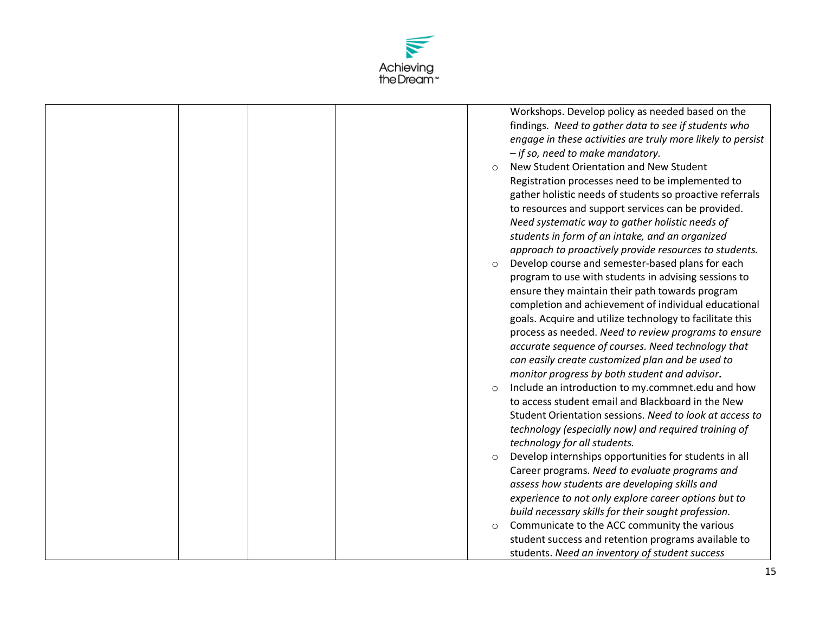

| findings. Need to gather data to see if students who<br>engage in these activities are truly more likely to persist<br>- if so, need to make mandatory.<br>New Student Orientation and New Student<br>Registration processes need to be implemented to<br>gather holistic needs of students so proactive referrals<br>to resources and support services can be provided.<br>Need systematic way to gather holistic needs of<br>students in form of an intake, and an organized<br>approach to proactively provide resources to students. |
|------------------------------------------------------------------------------------------------------------------------------------------------------------------------------------------------------------------------------------------------------------------------------------------------------------------------------------------------------------------------------------------------------------------------------------------------------------------------------------------------------------------------------------------|
|                                                                                                                                                                                                                                                                                                                                                                                                                                                                                                                                          |
|                                                                                                                                                                                                                                                                                                                                                                                                                                                                                                                                          |
|                                                                                                                                                                                                                                                                                                                                                                                                                                                                                                                                          |
|                                                                                                                                                                                                                                                                                                                                                                                                                                                                                                                                          |
|                                                                                                                                                                                                                                                                                                                                                                                                                                                                                                                                          |
|                                                                                                                                                                                                                                                                                                                                                                                                                                                                                                                                          |
|                                                                                                                                                                                                                                                                                                                                                                                                                                                                                                                                          |
|                                                                                                                                                                                                                                                                                                                                                                                                                                                                                                                                          |
|                                                                                                                                                                                                                                                                                                                                                                                                                                                                                                                                          |
|                                                                                                                                                                                                                                                                                                                                                                                                                                                                                                                                          |
| Develop course and semester-based plans for each<br>$\circ$                                                                                                                                                                                                                                                                                                                                                                                                                                                                              |
| program to use with students in advising sessions to                                                                                                                                                                                                                                                                                                                                                                                                                                                                                     |
| ensure they maintain their path towards program                                                                                                                                                                                                                                                                                                                                                                                                                                                                                          |
| completion and achievement of individual educational                                                                                                                                                                                                                                                                                                                                                                                                                                                                                     |
| goals. Acquire and utilize technology to facilitate this                                                                                                                                                                                                                                                                                                                                                                                                                                                                                 |
| process as needed. Need to review programs to ensure                                                                                                                                                                                                                                                                                                                                                                                                                                                                                     |
| accurate sequence of courses. Need technology that                                                                                                                                                                                                                                                                                                                                                                                                                                                                                       |
| can easily create customized plan and be used to                                                                                                                                                                                                                                                                                                                                                                                                                                                                                         |
| monitor progress by both student and advisor.                                                                                                                                                                                                                                                                                                                                                                                                                                                                                            |
| Include an introduction to my.commnet.edu and how<br>$\circ$                                                                                                                                                                                                                                                                                                                                                                                                                                                                             |
| to access student email and Blackboard in the New                                                                                                                                                                                                                                                                                                                                                                                                                                                                                        |
| Student Orientation sessions. Need to look at access to                                                                                                                                                                                                                                                                                                                                                                                                                                                                                  |
| technology (especially now) and required training of                                                                                                                                                                                                                                                                                                                                                                                                                                                                                     |
| technology for all students.                                                                                                                                                                                                                                                                                                                                                                                                                                                                                                             |
| Develop internships opportunities for students in all<br>$\circ$                                                                                                                                                                                                                                                                                                                                                                                                                                                                         |
| Career programs. Need to evaluate programs and                                                                                                                                                                                                                                                                                                                                                                                                                                                                                           |
| assess how students are developing skills and                                                                                                                                                                                                                                                                                                                                                                                                                                                                                            |
| experience to not only explore career options but to                                                                                                                                                                                                                                                                                                                                                                                                                                                                                     |
| build necessary skills for their sought profession.                                                                                                                                                                                                                                                                                                                                                                                                                                                                                      |
| Communicate to the ACC community the various<br>$\circ$                                                                                                                                                                                                                                                                                                                                                                                                                                                                                  |
| student success and retention programs available to                                                                                                                                                                                                                                                                                                                                                                                                                                                                                      |
| students. Need an inventory of student success                                                                                                                                                                                                                                                                                                                                                                                                                                                                                           |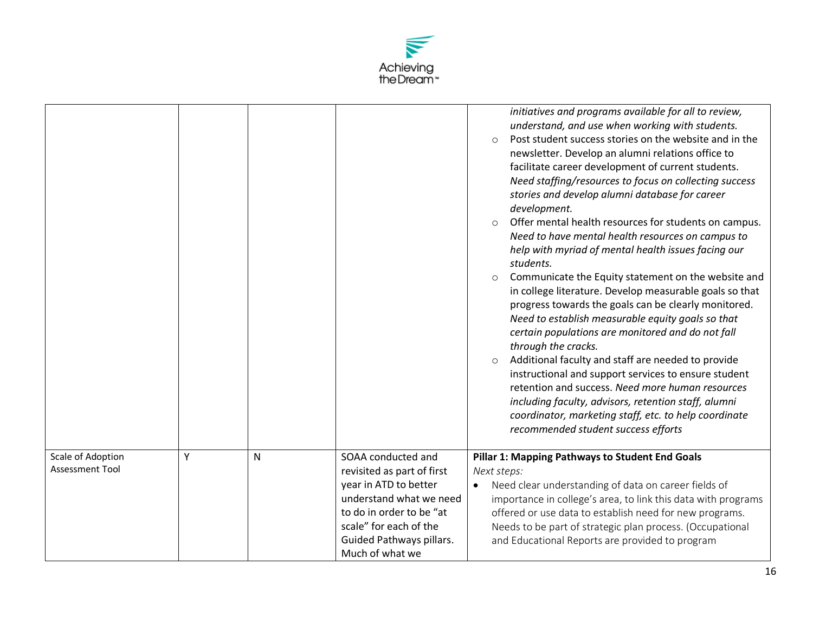

|                                             |   |              |                                                                                                                                                                                                           | initiatives and programs available for all to review,<br>understand, and use when working with students.<br>Post student success stories on the website and in the<br>$\circ$<br>newsletter. Develop an alumni relations office to<br>facilitate career development of current students.<br>Need staffing/resources to focus on collecting success<br>stories and develop alumni database for career<br>development.<br>Offer mental health resources for students on campus.<br>$\circ$<br>Need to have mental health resources on campus to<br>help with myriad of mental health issues facing our<br>students.<br>Communicate the Equity statement on the website and<br>$\circ$<br>in college literature. Develop measurable goals so that<br>progress towards the goals can be clearly monitored.<br>Need to establish measurable equity goals so that<br>certain populations are monitored and do not fall<br>through the cracks.<br>Additional faculty and staff are needed to provide<br>$\circ$<br>instructional and support services to ensure student<br>retention and success. Need more human resources<br>including faculty, advisors, retention staff, alumni<br>coordinator, marketing staff, etc. to help coordinate<br>recommended student success efforts |
|---------------------------------------------|---|--------------|-----------------------------------------------------------------------------------------------------------------------------------------------------------------------------------------------------------|------------------------------------------------------------------------------------------------------------------------------------------------------------------------------------------------------------------------------------------------------------------------------------------------------------------------------------------------------------------------------------------------------------------------------------------------------------------------------------------------------------------------------------------------------------------------------------------------------------------------------------------------------------------------------------------------------------------------------------------------------------------------------------------------------------------------------------------------------------------------------------------------------------------------------------------------------------------------------------------------------------------------------------------------------------------------------------------------------------------------------------------------------------------------------------------------------------------------------------------------------------------------------|
| Scale of Adoption<br><b>Assessment Tool</b> | Y | $\mathsf{N}$ | SOAA conducted and<br>revisited as part of first<br>year in ATD to better<br>understand what we need<br>to do in order to be "at<br>scale" for each of the<br>Guided Pathways pillars.<br>Much of what we | Pillar 1: Mapping Pathways to Student End Goals<br>Next steps:<br>Need clear understanding of data on career fields of<br>$\bullet$<br>importance in college's area, to link this data with programs<br>offered or use data to establish need for new programs.<br>Needs to be part of strategic plan process. (Occupational<br>and Educational Reports are provided to program                                                                                                                                                                                                                                                                                                                                                                                                                                                                                                                                                                                                                                                                                                                                                                                                                                                                                              |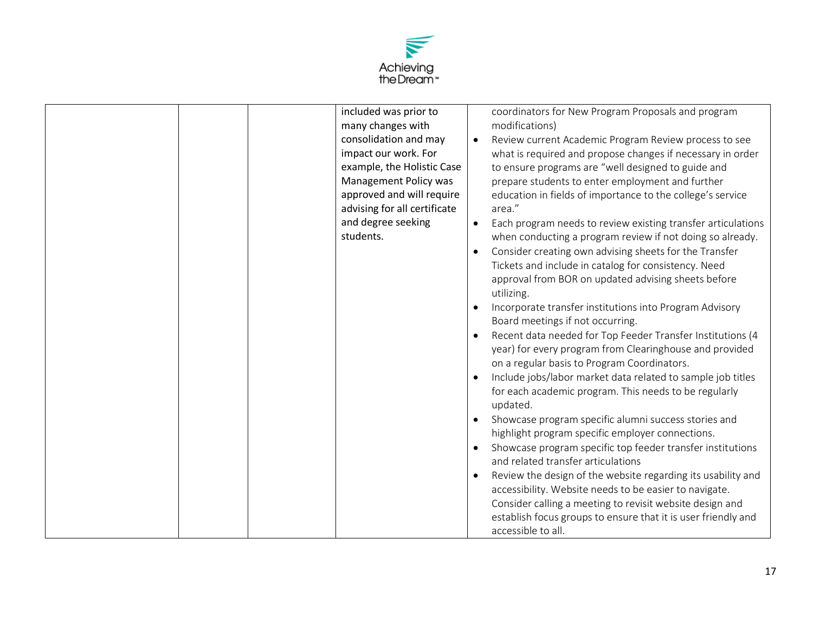

|  | included was prior to<br>many changes with<br>consolidation and may<br>impact our work. For<br>example, the Holistic Case<br>Management Policy was<br>approved and will require<br>advising for all certificate<br>and degree seeking<br>students. | $\bullet$<br>$\bullet$<br>$\bullet$<br>$\bullet$<br>$\bullet$<br>$\bullet$<br>$\bullet$ | coordinators for New Program Proposals and program<br>modifications)<br>Review current Academic Program Review process to see<br>what is required and propose changes if necessary in order<br>to ensure programs are "well designed to guide and<br>prepare students to enter employment and further<br>education in fields of importance to the college's service<br>area."<br>Each program needs to review existing transfer articulations<br>when conducting a program review if not doing so already.<br>Consider creating own advising sheets for the Transfer<br>Tickets and include in catalog for consistency. Need<br>approval from BOR on updated advising sheets before<br>utilizing.<br>Incorporate transfer institutions into Program Advisory<br>Board meetings if not occurring.<br>Recent data needed for Top Feeder Transfer Institutions (4<br>year) for every program from Clearinghouse and provided<br>on a regular basis to Program Coordinators.<br>Include jobs/labor market data related to sample job titles<br>for each academic program. This needs to be regularly<br>updated.<br>Showcase program specific alumni success stories and<br>highlight program specific employer connections.<br>Showcase program specific top feeder transfer institutions<br>and related transfer articulations<br>Review the design of the website regarding its usability and |
|--|----------------------------------------------------------------------------------------------------------------------------------------------------------------------------------------------------------------------------------------------------|-----------------------------------------------------------------------------------------|----------------------------------------------------------------------------------------------------------------------------------------------------------------------------------------------------------------------------------------------------------------------------------------------------------------------------------------------------------------------------------------------------------------------------------------------------------------------------------------------------------------------------------------------------------------------------------------------------------------------------------------------------------------------------------------------------------------------------------------------------------------------------------------------------------------------------------------------------------------------------------------------------------------------------------------------------------------------------------------------------------------------------------------------------------------------------------------------------------------------------------------------------------------------------------------------------------------------------------------------------------------------------------------------------------------------------------------------------------------------------------------------|
|  |                                                                                                                                                                                                                                                    |                                                                                         |                                                                                                                                                                                                                                                                                                                                                                                                                                                                                                                                                                                                                                                                                                                                                                                                                                                                                                                                                                                                                                                                                                                                                                                                                                                                                                                                                                                              |
|  |                                                                                                                                                                                                                                                    |                                                                                         | accessibility. Website needs to be easier to navigate.<br>Consider calling a meeting to revisit website design and<br>establish focus groups to ensure that it is user friendly and<br>accessible to all.                                                                                                                                                                                                                                                                                                                                                                                                                                                                                                                                                                                                                                                                                                                                                                                                                                                                                                                                                                                                                                                                                                                                                                                    |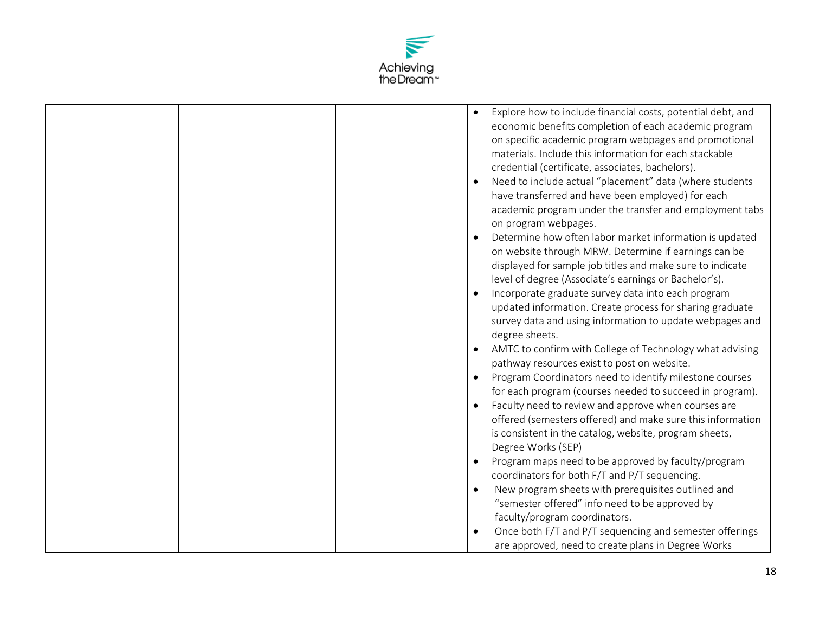

|  | Explore how to include financial costs, potential debt, and<br>$\bullet$<br>economic benefits completion of each academic program<br>on specific academic program webpages and promotional<br>materials. Include this information for each stackable<br>credential (certificate, associates, bachelors).<br>Need to include actual "placement" data (where students<br>$\bullet$<br>have transferred and have been employed) for each<br>academic program under the transfer and employment tabs<br>on program webpages.<br>Determine how often labor market information is updated<br>$\bullet$<br>on website through MRW. Determine if earnings can be |
|--|----------------------------------------------------------------------------------------------------------------------------------------------------------------------------------------------------------------------------------------------------------------------------------------------------------------------------------------------------------------------------------------------------------------------------------------------------------------------------------------------------------------------------------------------------------------------------------------------------------------------------------------------------------|
|  | displayed for sample job titles and make sure to indicate<br>level of degree (Associate's earnings or Bachelor's).<br>Incorporate graduate survey data into each program<br>updated information. Create process for sharing graduate                                                                                                                                                                                                                                                                                                                                                                                                                     |
|  | survey data and using information to update webpages and<br>degree sheets.                                                                                                                                                                                                                                                                                                                                                                                                                                                                                                                                                                               |
|  | AMTC to confirm with College of Technology what advising<br>pathway resources exist to post on website.                                                                                                                                                                                                                                                                                                                                                                                                                                                                                                                                                  |
|  | Program Coordinators need to identify milestone courses<br>$\bullet$<br>for each program (courses needed to succeed in program).                                                                                                                                                                                                                                                                                                                                                                                                                                                                                                                         |
|  | Faculty need to review and approve when courses are<br>$\bullet$<br>offered (semesters offered) and make sure this information<br>is consistent in the catalog, website, program sheets,<br>Degree Works (SEP)                                                                                                                                                                                                                                                                                                                                                                                                                                           |
|  | Program maps need to be approved by faculty/program<br>$\bullet$<br>coordinators for both F/T and P/T sequencing.                                                                                                                                                                                                                                                                                                                                                                                                                                                                                                                                        |
|  | New program sheets with prerequisites outlined and<br>$\bullet$<br>"semester offered" info need to be approved by<br>faculty/program coordinators.                                                                                                                                                                                                                                                                                                                                                                                                                                                                                                       |
|  | Once both F/T and P/T sequencing and semester offerings<br>$\bullet$<br>are approved, need to create plans in Degree Works                                                                                                                                                                                                                                                                                                                                                                                                                                                                                                                               |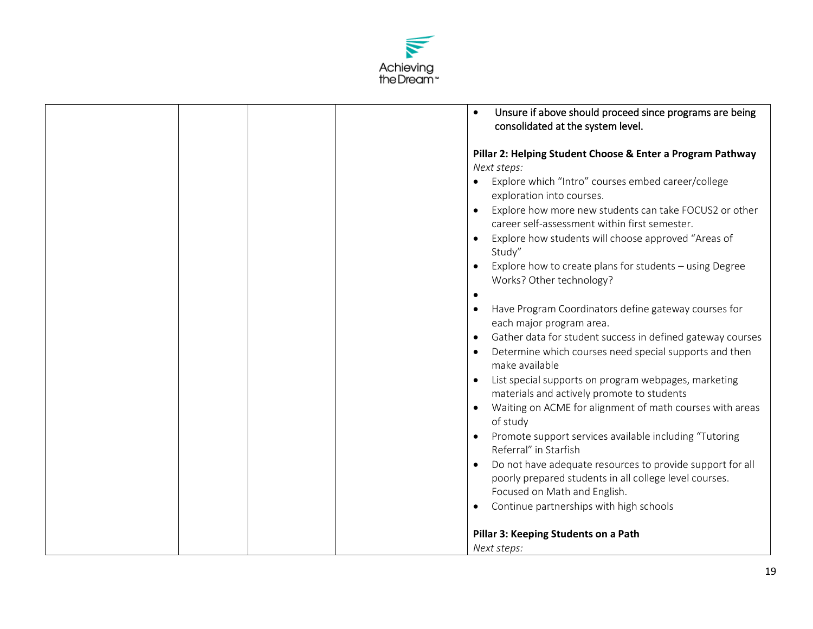

| Unsure if above should proceed since programs are being<br>$\bullet$                                                 |
|----------------------------------------------------------------------------------------------------------------------|
| consolidated at the system level.                                                                                    |
| Pillar 2: Helping Student Choose & Enter a Program Pathway                                                           |
| Next steps:                                                                                                          |
| Explore which "Intro" courses embed career/college                                                                   |
| exploration into courses.                                                                                            |
| Explore how more new students can take FOCUS2 or other<br>$\bullet$<br>career self-assessment within first semester. |
| Explore how students will choose approved "Areas of                                                                  |
| Study"                                                                                                               |
| Explore how to create plans for students - using Degree                                                              |
| Works? Other technology?<br>$\bullet$                                                                                |
| Have Program Coordinators define gateway courses for<br>$\bullet$                                                    |
| each major program area.                                                                                             |
| Gather data for student success in defined gateway courses<br>$\bullet$                                              |
| Determine which courses need special supports and then<br>make available                                             |
| List special supports on program webpages, marketing<br>$\bullet$                                                    |
| materials and actively promote to students                                                                           |
| Waiting on ACME for alignment of math courses with areas<br>of study                                                 |
| Promote support services available including "Tutoring<br>Referral" in Starfish                                      |
| Do not have adequate resources to provide support for all<br>$\bullet$                                               |
| poorly prepared students in all college level courses.                                                               |
| Focused on Math and English.                                                                                         |
| Continue partnerships with high schools<br>$\bullet$                                                                 |
| Pillar 3: Keeping Students on a Path                                                                                 |
| Next steps:                                                                                                          |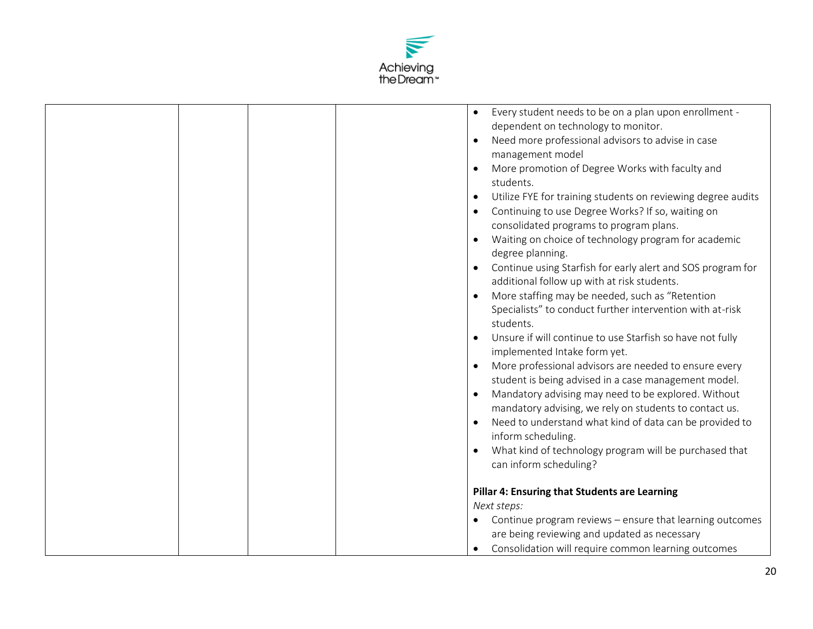

|  | Every student needs to be on a plan upon enrollment -                     |
|--|---------------------------------------------------------------------------|
|  | dependent on technology to monitor.                                       |
|  | Need more professional advisors to advise in case<br>$\bullet$            |
|  | management model                                                          |
|  | More promotion of Degree Works with faculty and<br>students.              |
|  | Utilize FYE for training students on reviewing degree audits<br>$\bullet$ |
|  | Continuing to use Degree Works? If so, waiting on                         |
|  | consolidated programs to program plans.                                   |
|  | $\bullet$                                                                 |
|  | Waiting on choice of technology program for academic<br>degree planning.  |
|  | Continue using Starfish for early alert and SOS program for<br>$\bullet$  |
|  | additional follow up with at risk students.                               |
|  | More staffing may be needed, such as "Retention                           |
|  | Specialists" to conduct further intervention with at-risk                 |
|  | students.                                                                 |
|  | Unsure if will continue to use Starfish so have not fully                 |
|  | implemented Intake form yet.                                              |
|  | More professional advisors are needed to ensure every<br>$\bullet$        |
|  | student is being advised in a case management model.                      |
|  | Mandatory advising may need to be explored. Without                       |
|  | mandatory advising, we rely on students to contact us.                    |
|  | Need to understand what kind of data can be provided to                   |
|  | inform scheduling.                                                        |
|  | What kind of technology program will be purchased that<br>$\bullet$       |
|  | can inform scheduling?                                                    |
|  |                                                                           |
|  | Pillar 4: Ensuring that Students are Learning                             |
|  | Next steps:                                                               |
|  | Continue program reviews - ensure that learning outcomes                  |
|  |                                                                           |
|  | are being reviewing and updated as necessary                              |
|  | Consolidation will require common learning outcomes                       |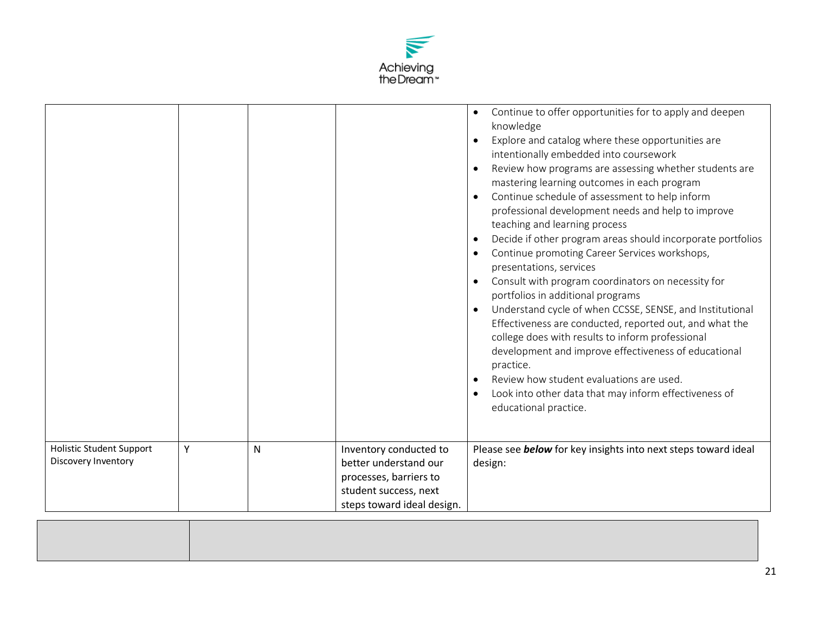

|                                                        |   |   |                                                                                                                                  | Continue to offer opportunities for to apply and deepen<br>$\bullet$<br>knowledge<br>Explore and catalog where these opportunities are<br>$\bullet$<br>intentionally embedded into coursework<br>Review how programs are assessing whether students are<br>$\bullet$<br>mastering learning outcomes in each program<br>Continue schedule of assessment to help inform<br>$\bullet$<br>professional development needs and help to improve<br>teaching and learning process<br>Decide if other program areas should incorporate portfolios<br>$\bullet$<br>Continue promoting Career Services workshops,<br>$\bullet$<br>presentations, services<br>Consult with program coordinators on necessity for<br>$\bullet$<br>portfolios in additional programs<br>Understand cycle of when CCSSE, SENSE, and Institutional<br>$\bullet$<br>Effectiveness are conducted, reported out, and what the<br>college does with results to inform professional<br>development and improve effectiveness of educational<br>practice.<br>Review how student evaluations are used.<br>Look into other data that may inform effectiveness of<br>$\bullet$<br>educational practice. |
|--------------------------------------------------------|---|---|----------------------------------------------------------------------------------------------------------------------------------|----------------------------------------------------------------------------------------------------------------------------------------------------------------------------------------------------------------------------------------------------------------------------------------------------------------------------------------------------------------------------------------------------------------------------------------------------------------------------------------------------------------------------------------------------------------------------------------------------------------------------------------------------------------------------------------------------------------------------------------------------------------------------------------------------------------------------------------------------------------------------------------------------------------------------------------------------------------------------------------------------------------------------------------------------------------------------------------------------------------------------------------------------------------|
| <b>Holistic Student Support</b><br>Discovery Inventory | Y | N | Inventory conducted to<br>better understand our<br>processes, barriers to<br>student success, next<br>steps toward ideal design. | Please see <b>below</b> for key insights into next steps toward ideal<br>design:                                                                                                                                                                                                                                                                                                                                                                                                                                                                                                                                                                                                                                                                                                                                                                                                                                                                                                                                                                                                                                                                               |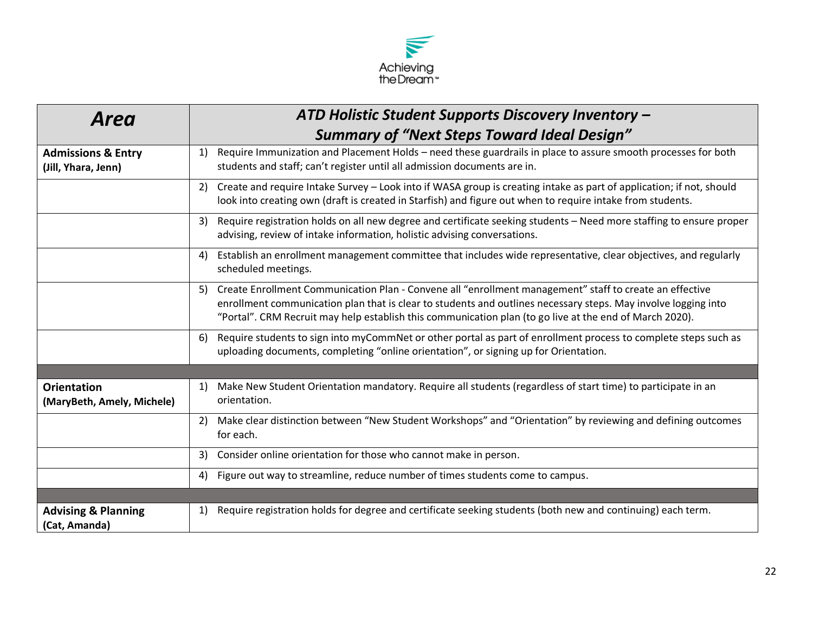

| Area                                                 | ATD Holistic Student Supports Discovery Inventory -                                                                                                                                                                                                                                                                                        |
|------------------------------------------------------|--------------------------------------------------------------------------------------------------------------------------------------------------------------------------------------------------------------------------------------------------------------------------------------------------------------------------------------------|
|                                                      | <b>Summary of "Next Steps Toward Ideal Design"</b>                                                                                                                                                                                                                                                                                         |
| <b>Admissions &amp; Entry</b><br>(Jill, Yhara, Jenn) | Require Immunization and Placement Holds - need these guardrails in place to assure smooth processes for both<br>1)<br>students and staff; can't register until all admission documents are in.                                                                                                                                            |
|                                                      | Create and require Intake Survey - Look into if WASA group is creating intake as part of application; if not, should<br>2)<br>look into creating own (draft is created in Starfish) and figure out when to require intake from students.                                                                                                   |
|                                                      | Require registration holds on all new degree and certificate seeking students - Need more staffing to ensure proper<br>3)<br>advising, review of intake information, holistic advising conversations.                                                                                                                                      |
|                                                      | Establish an enrollment management committee that includes wide representative, clear objectives, and regularly<br>4)<br>scheduled meetings.                                                                                                                                                                                               |
|                                                      | Create Enrollment Communication Plan - Convene all "enrollment management" staff to create an effective<br>5)<br>enrollment communication plan that is clear to students and outlines necessary steps. May involve logging into<br>"Portal". CRM Recruit may help establish this communication plan (to go live at the end of March 2020). |
|                                                      | Require students to sign into myCommNet or other portal as part of enrollment process to complete steps such as<br>6)<br>uploading documents, completing "online orientation", or signing up for Orientation.                                                                                                                              |
|                                                      |                                                                                                                                                                                                                                                                                                                                            |
| <b>Orientation</b><br>(MaryBeth, Amely, Michele)     | Make New Student Orientation mandatory. Require all students (regardless of start time) to participate in an<br>1)<br>orientation.                                                                                                                                                                                                         |
|                                                      | Make clear distinction between "New Student Workshops" and "Orientation" by reviewing and defining outcomes<br>2)<br>for each.                                                                                                                                                                                                             |
|                                                      | Consider online orientation for those who cannot make in person.<br>3)                                                                                                                                                                                                                                                                     |
|                                                      | Figure out way to streamline, reduce number of times students come to campus.<br>4)                                                                                                                                                                                                                                                        |
|                                                      |                                                                                                                                                                                                                                                                                                                                            |
| <b>Advising &amp; Planning</b><br>(Cat, Amanda)      | Require registration holds for degree and certificate seeking students (both new and continuing) each term.<br>1)                                                                                                                                                                                                                          |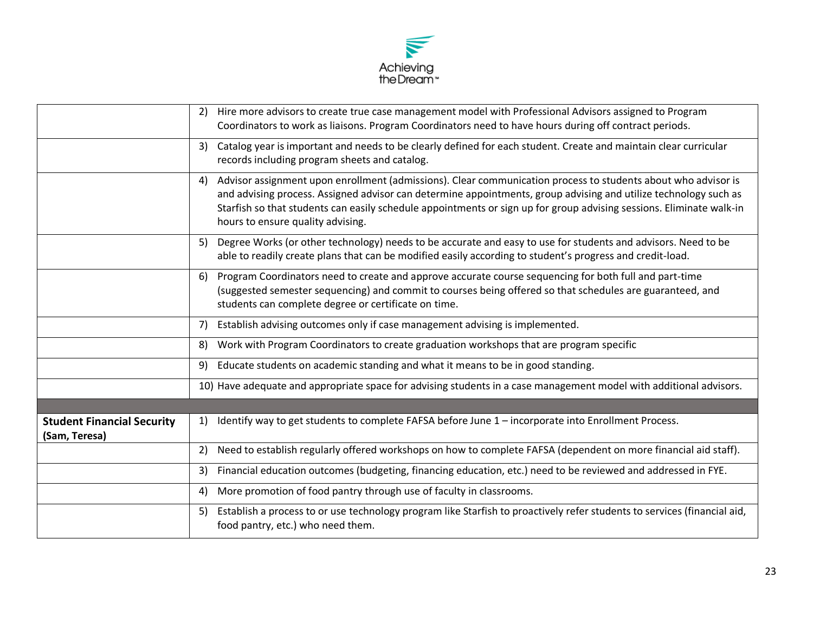

|                                                    | Hire more advisors to create true case management model with Professional Advisors assigned to Program<br>2)<br>Coordinators to work as liaisons. Program Coordinators need to have hours during off contract periods.                                                                                                                                                                               |
|----------------------------------------------------|------------------------------------------------------------------------------------------------------------------------------------------------------------------------------------------------------------------------------------------------------------------------------------------------------------------------------------------------------------------------------------------------------|
|                                                    | Catalog year is important and needs to be clearly defined for each student. Create and maintain clear curricular<br>3)<br>records including program sheets and catalog.                                                                                                                                                                                                                              |
|                                                    | Advisor assignment upon enrollment (admissions). Clear communication process to students about who advisor is<br>4)<br>and advising process. Assigned advisor can determine appointments, group advising and utilize technology such as<br>Starfish so that students can easily schedule appointments or sign up for group advising sessions. Eliminate walk-in<br>hours to ensure quality advising. |
|                                                    | Degree Works (or other technology) needs to be accurate and easy to use for students and advisors. Need to be<br>5)<br>able to readily create plans that can be modified easily according to student's progress and credit-load.                                                                                                                                                                     |
|                                                    | Program Coordinators need to create and approve accurate course sequencing for both full and part-time<br>6)<br>(suggested semester sequencing) and commit to courses being offered so that schedules are guaranteed, and<br>students can complete degree or certificate on time.                                                                                                                    |
|                                                    | Establish advising outcomes only if case management advising is implemented.<br>7)                                                                                                                                                                                                                                                                                                                   |
|                                                    | Work with Program Coordinators to create graduation workshops that are program specific<br>8)                                                                                                                                                                                                                                                                                                        |
|                                                    | Educate students on academic standing and what it means to be in good standing.<br>9)                                                                                                                                                                                                                                                                                                                |
|                                                    | 10) Have adequate and appropriate space for advising students in a case management model with additional advisors.                                                                                                                                                                                                                                                                                   |
|                                                    |                                                                                                                                                                                                                                                                                                                                                                                                      |
| <b>Student Financial Security</b><br>(Sam, Teresa) | Identify way to get students to complete FAFSA before June 1 - incorporate into Enrollment Process.<br>1)                                                                                                                                                                                                                                                                                            |
|                                                    | Need to establish regularly offered workshops on how to complete FAFSA (dependent on more financial aid staff).<br>2)                                                                                                                                                                                                                                                                                |
|                                                    | Financial education outcomes (budgeting, financing education, etc.) need to be reviewed and addressed in FYE.<br>3)                                                                                                                                                                                                                                                                                  |
|                                                    | More promotion of food pantry through use of faculty in classrooms.<br>4)                                                                                                                                                                                                                                                                                                                            |
|                                                    | Establish a process to or use technology program like Starfish to proactively refer students to services (financial aid,<br>5)<br>food pantry, etc.) who need them.                                                                                                                                                                                                                                  |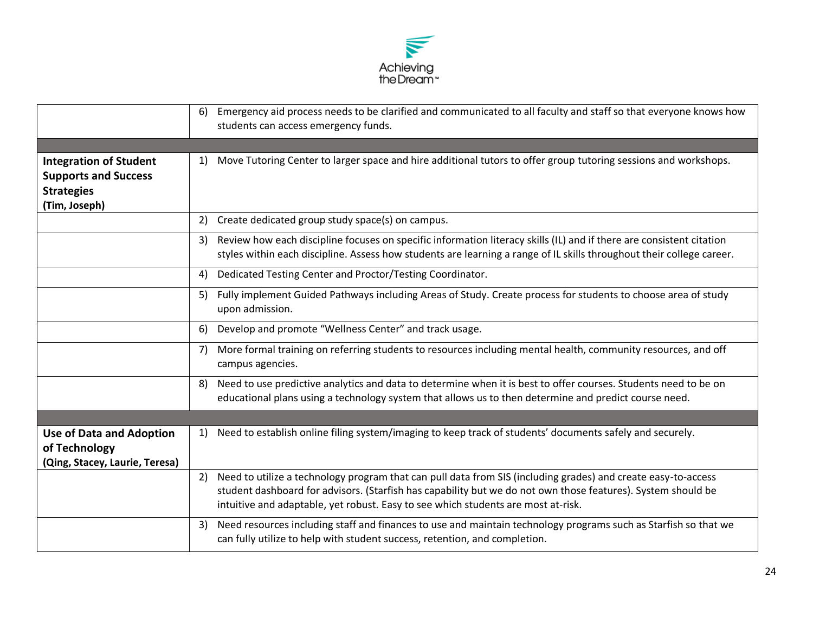

|                                                                                                    | Emergency aid process needs to be clarified and communicated to all faculty and staff so that everyone knows how<br>6)<br>students can access emergency funds.                                                                                                                                                           |
|----------------------------------------------------------------------------------------------------|--------------------------------------------------------------------------------------------------------------------------------------------------------------------------------------------------------------------------------------------------------------------------------------------------------------------------|
| <b>Integration of Student</b><br><b>Supports and Success</b><br><b>Strategies</b><br>(Tim, Joseph) | Move Tutoring Center to larger space and hire additional tutors to offer group tutoring sessions and workshops.<br>1)                                                                                                                                                                                                    |
|                                                                                                    | Create dedicated group study space(s) on campus.<br>2)                                                                                                                                                                                                                                                                   |
|                                                                                                    | Review how each discipline focuses on specific information literacy skills (IL) and if there are consistent citation<br>3)<br>styles within each discipline. Assess how students are learning a range of IL skills throughout their college career.                                                                      |
|                                                                                                    | Dedicated Testing Center and Proctor/Testing Coordinator.<br>4)                                                                                                                                                                                                                                                          |
|                                                                                                    | Fully implement Guided Pathways including Areas of Study. Create process for students to choose area of study<br>5)<br>upon admission.                                                                                                                                                                                   |
|                                                                                                    | Develop and promote "Wellness Center" and track usage.<br>6)                                                                                                                                                                                                                                                             |
|                                                                                                    | More formal training on referring students to resources including mental health, community resources, and off<br>7)<br>campus agencies.                                                                                                                                                                                  |
|                                                                                                    | Need to use predictive analytics and data to determine when it is best to offer courses. Students need to be on<br>8)<br>educational plans using a technology system that allows us to then determine and predict course need.                                                                                           |
|                                                                                                    |                                                                                                                                                                                                                                                                                                                          |
| <b>Use of Data and Adoption</b><br>of Technology<br>(Qing, Stacey, Laurie, Teresa)                 | Need to establish online filing system/imaging to keep track of students' documents safely and securely.<br>1)                                                                                                                                                                                                           |
|                                                                                                    | Need to utilize a technology program that can pull data from SIS (including grades) and create easy-to-access<br>2)<br>student dashboard for advisors. (Starfish has capability but we do not own those features). System should be<br>intuitive and adaptable, yet robust. Easy to see which students are most at-risk. |
|                                                                                                    | Need resources including staff and finances to use and maintain technology programs such as Starfish so that we<br>3)<br>can fully utilize to help with student success, retention, and completion.                                                                                                                      |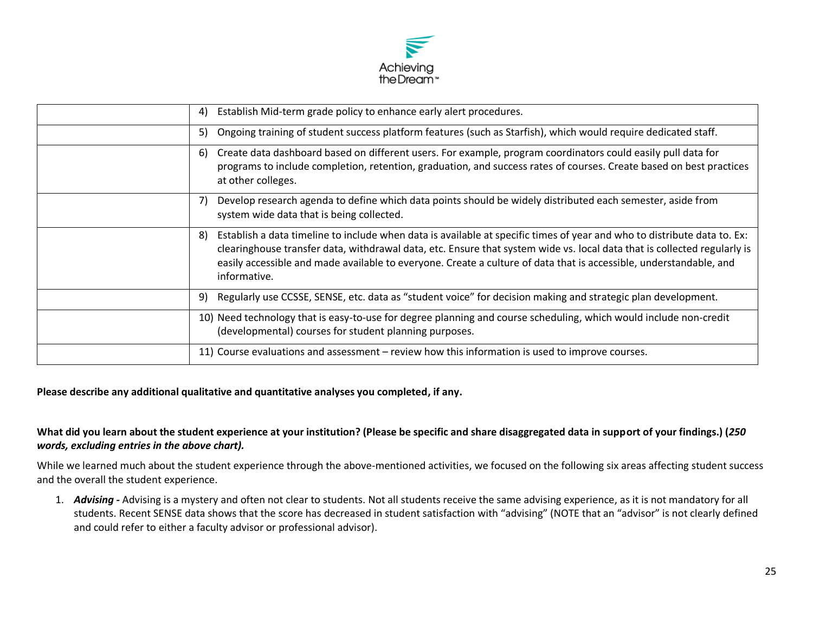

| 4)  | Establish Mid-term grade policy to enhance early alert procedures.                                                                                                                                                                                                                                                                                                                         |
|-----|--------------------------------------------------------------------------------------------------------------------------------------------------------------------------------------------------------------------------------------------------------------------------------------------------------------------------------------------------------------------------------------------|
| 5)  | Ongoing training of student success platform features (such as Starfish), which would require dedicated staff.                                                                                                                                                                                                                                                                             |
| -6) | Create data dashboard based on different users. For example, program coordinators could easily pull data for<br>programs to include completion, retention, graduation, and success rates of courses. Create based on best practices<br>at other colleges.                                                                                                                                  |
| 7)  | Develop research agenda to define which data points should be widely distributed each semester, aside from<br>system wide data that is being collected.                                                                                                                                                                                                                                    |
| 8)  | Establish a data timeline to include when data is available at specific times of year and who to distribute data to. Ex:<br>clearinghouse transfer data, withdrawal data, etc. Ensure that system wide vs. local data that is collected regularly is<br>easily accessible and made available to everyone. Create a culture of data that is accessible, understandable, and<br>informative. |
| 9)  | Regularly use CCSSE, SENSE, etc. data as "student voice" for decision making and strategic plan development.                                                                                                                                                                                                                                                                               |
|     | 10) Need technology that is easy-to-use for degree planning and course scheduling, which would include non-credit<br>(developmental) courses for student planning purposes.                                                                                                                                                                                                                |
|     | 11) Course evaluations and assessment – review how this information is used to improve courses.                                                                                                                                                                                                                                                                                            |

**Please describe any additional qualitative and quantitative analyses you completed, if any.** 

## **What did you learn about the student experience at your institution? (Please be specific and share disaggregated data in support of your findings.) (***250 words, excluding entries in the above chart).*

While we learned much about the student experience through the above-mentioned activities, we focused on the following six areas affecting student success and the overall the student experience.

1. *Advising -* Advising is a mystery and often not clear to students. Not all students receive the same advising experience, as it is not mandatory for all students. Recent SENSE data shows that the score has decreased in student satisfaction with "advising" (NOTE that an "advisor" is not clearly defined and could refer to either a faculty advisor or professional advisor).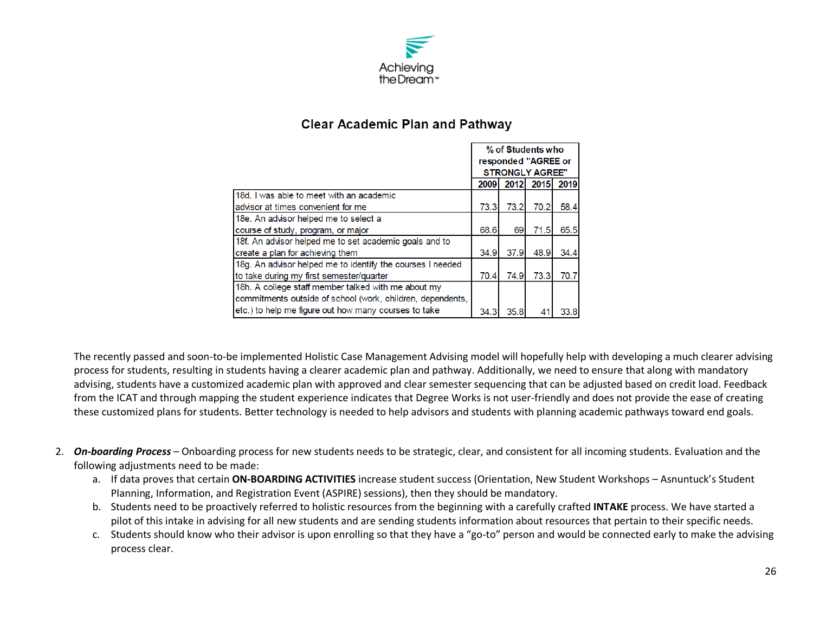

# **Clear Academic Plan and Pathway**

|                                                            | % of Students who   |                        |      |      |
|------------------------------------------------------------|---------------------|------------------------|------|------|
|                                                            | responded "AGREE or |                        |      |      |
|                                                            |                     | <b>STRONGLY AGREE"</b> |      |      |
|                                                            | 2009                | 2012                   | 2015 | 2019 |
| 18d. I was able to meet with an academic                   |                     |                        |      |      |
| Iadvisor at times convenient for me                        | 73.3                | 73.2                   | 70.2 | 58.4 |
| 18e. An advisor helped me to select a                      |                     |                        |      |      |
| course of study, program, or major                         | 68.6                | 69                     | 71.5 | 65.5 |
| 18f. An advisor helped me to set academic goals and to     |                     |                        |      |      |
| create a plan for achieving them                           | 34.9                | 37.9                   | 48.9 | 34.4 |
| 18g. An advisor helped me to identify the courses I needed |                     |                        |      |      |
| to take during my first semester/quarter                   | 70.4                | 74.9                   | 73.3 | 70.7 |
| 18h. A college staff member talked with me about my        |                     |                        |      |      |
| commitments outside of school (work, children, dependents, |                     |                        |      |      |
| etc.) to help me figure out how many courses to take       | 34.3                | 35.8                   |      | 33.8 |

The recently passed and soon-to-be implemented Holistic Case Management Advising model will hopefully help with developing a much clearer advising process for students, resulting in students having a clearer academic plan and pathway. Additionally, we need to ensure that along with mandatory advising, students have a customized academic plan with approved and clear semester sequencing that can be adjusted based on credit load. Feedback from the ICAT and through mapping the student experience indicates that Degree Works is not user-friendly and does not provide the ease of creating these customized plans for students. Better technology is needed to help advisors and students with planning academic pathways toward end goals.

- 2. *On-boarding Process* Onboarding process for new students needs to be strategic, clear, and consistent for all incoming students. Evaluation and the following adjustments need to be made:
	- a. If data proves that certain **ON-BOARDING ACTIVITIES** increase student success (Orientation, New Student Workshops Asnuntuck's Student Planning, Information, and Registration Event (ASPIRE) sessions), then they should be mandatory.
	- b. Students need to be proactively referred to holistic resources from the beginning with a carefully crafted **INTAKE** process. We have started a pilot of this intake in advising for all new students and are sending students information about resources that pertain to their specific needs.
	- c. Students should know who their advisor is upon enrolling so that they have a "go-to" person and would be connected early to make the advising process clear.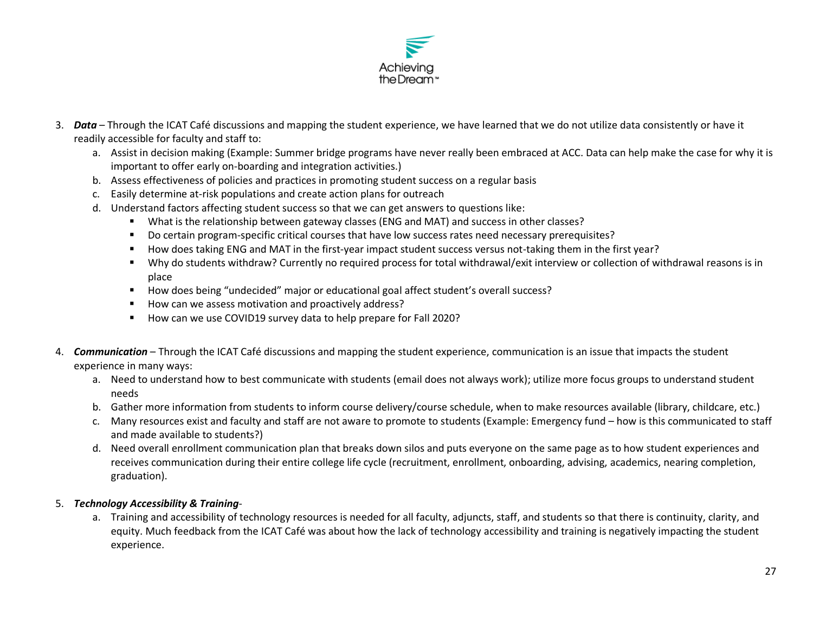

- 3. *Data* Through the ICAT Café discussions and mapping the student experience, we have learned that we do not utilize data consistently or have it readily accessible for faculty and staff to:
	- a. Assist in decision making (Example: Summer bridge programs have never really been embraced at ACC. Data can help make the case for why it is important to offer early on-boarding and integration activities.)
	- b. Assess effectiveness of policies and practices in promoting student success on a regular basis
	- c. Easily determine at-risk populations and create action plans for outreach
	- d. Understand factors affecting student success so that we can get answers to questions like:
		- What is the relationship between gateway classes (ENG and MAT) and success in other classes?
		- Do certain program-specific critical courses that have low success rates need necessary prerequisites?
		- How does taking ENG and MAT in the first-year impact student success versus not-taking them in the first year?
		- Why do students withdraw? Currently no required process for total withdrawal/exit interview or collection of withdrawal reasons is in place
		- How does being "undecided" major or educational goal affect student's overall success?
		- How can we assess motivation and proactively address?
		- How can we use COVID19 survey data to help prepare for Fall 2020?
- 4. *Communication* Through the ICAT Café discussions and mapping the student experience, communication is an issue that impacts the student experience in many ways:
	- a. Need to understand how to best communicate with students (email does not always work); utilize more focus groups to understand student needs
	- b. Gather more information from students to inform course delivery/course schedule, when to make resources available (library, childcare, etc.)
	- c. Many resources exist and faculty and staff are not aware to promote to students (Example: Emergency fund how is this communicated to staff and made available to students?)
	- d. Need overall enrollment communication plan that breaks down silos and puts everyone on the same page as to how student experiences and receives communication during their entire college life cycle (recruitment, enrollment, onboarding, advising, academics, nearing completion, graduation).

## 5. *Technology Accessibility & Training*-

a. Training and accessibility of technology resources is needed for all faculty, adjuncts, staff, and students so that there is continuity, clarity, and equity. Much feedback from the ICAT Café was about how the lack of technology accessibility and training is negatively impacting the student experience.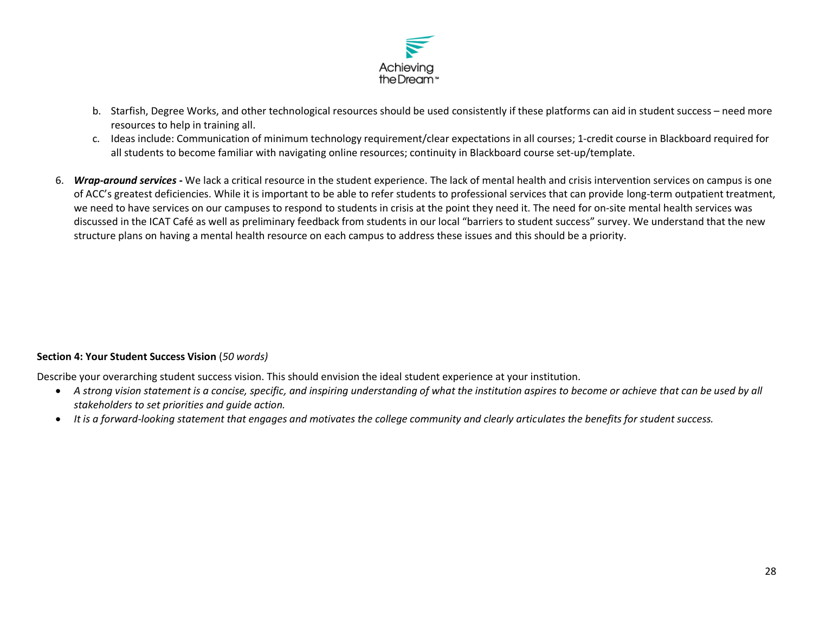

- b. Starfish, Degree Works, and other technological resources should be used consistently if these platforms can aid in student success need more resources to help in training all.
- c. Ideas include: Communication of minimum technology requirement/clear expectations in all courses; 1-credit course in Blackboard required for all students to become familiar with navigating online resources; continuity in Blackboard course set-up/template.
- 6. *Wrap-around services -* We lack a critical resource in the student experience. The lack of mental health and crisis intervention services on campus is one of ACC's greatest deficiencies. While it is important to be able to refer students to professional services that can provide long-term outpatient treatment, we need to have services on our campuses to respond to students in crisis at the point they need it. The need for on-site mental health services was discussed in the ICAT Café as well as preliminary feedback from students in our local "barriers to student success" survey. We understand that the new structure plans on having a mental health resource on each campus to address these issues and this should be a priority.

#### **Section 4: Your Student Success Vision** (*50 words)*

Describe your overarching student success vision. This should envision the ideal student experience at your institution.

- A strong vision statement is a concise, specific, and inspiring understanding of what the institution aspires to become or achieve that can be used by all *stakeholders to set priorities and guide action.*
- *It is a forward-looking statement that engages and motivates the college community and clearly articulates the benefits for student success.*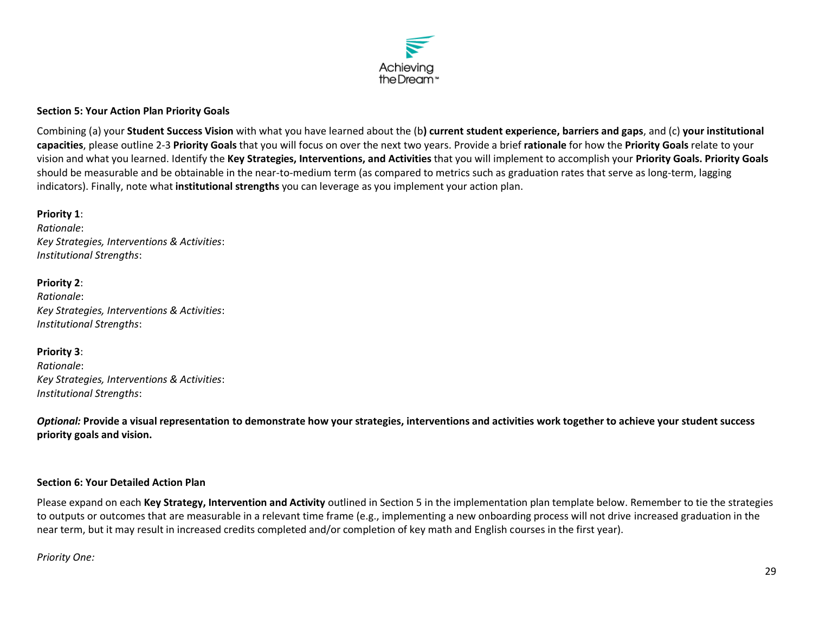

#### **Section 5: Your Action Plan Priority Goals**

Combining (a) your **Student Success Vision** with what you have learned about the (b**) current student experience, barriers and gaps**, and (c) **your institutional capacities**, please outline 2-3 **Priority Goals** that you will focus on over the next two years. Provide a brief **rationale** for how the **Priority Goals** relate to your vision and what you learned. Identify the **Key Strategies, Interventions, and Activities** that you will implement to accomplish your **Priority Goals. Priority Goals** should be measurable and be obtainable in the near-to-medium term (as compared to metrics such as graduation rates that serve as long-term, lagging indicators). Finally, note what **institutional strengths** you can leverage as you implement your action plan.

## **Priority 1**:

*Rationale*: *Key Strategies, Interventions & Activities*: *Institutional Strengths*:

#### **Priority 2**:

*Rationale*: *Key Strategies, Interventions & Activities*: *Institutional Strengths*:

#### **Priority 3**:

*Rationale*: *Key Strategies, Interventions & Activities*: *Institutional Strengths*:

*Optional:* **Provide a visual representation to demonstrate how your strategies, interventions and activities work together to achieve your student success priority goals and vision.**

#### **Section 6: Your Detailed Action Plan**

Please expand on each **Key Strategy, Intervention and Activity** outlined in Section 5 in the implementation plan template below. Remember to tie the strategies to outputs or outcomes that are measurable in a relevant time frame (e.g., implementing a new onboarding process will not drive increased graduation in the near term, but it may result in increased credits completed and/or completion of key math and English courses in the first year).

#### *Priority One:*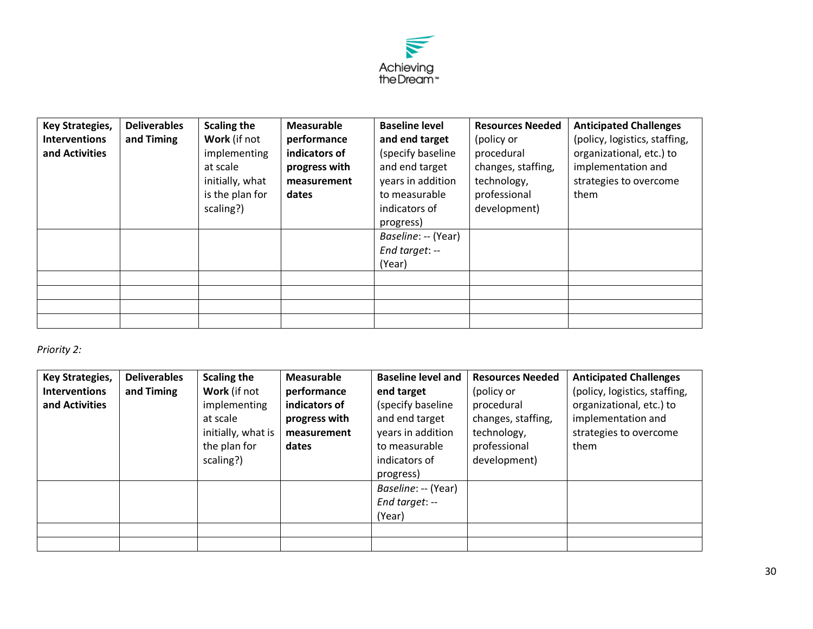

| <b>Key Strategies,</b> | <b>Deliverables</b> | <b>Scaling the</b> | <b>Measurable</b> | <b>Baseline level</b> | <b>Resources Needed</b> | <b>Anticipated Challenges</b> |
|------------------------|---------------------|--------------------|-------------------|-----------------------|-------------------------|-------------------------------|
| <b>Interventions</b>   | and Timing          | Work (if not       | performance       | and end target        | (policy or              | (policy, logistics, staffing, |
| and Activities         |                     | implementing       | indicators of     | (specify baseline     | procedural              | organizational, etc.) to      |
|                        |                     | at scale           | progress with     | and end target        | changes, staffing,      | implementation and            |
|                        |                     | initially, what    | measurement       | years in addition     | technology,             | strategies to overcome        |
|                        |                     | is the plan for    | dates             | to measurable         | professional            | them                          |
|                        |                     | scaling?)          |                   | indicators of         | development)            |                               |
|                        |                     |                    |                   | progress)             |                         |                               |
|                        |                     |                    |                   | Baseline: -- (Year)   |                         |                               |
|                        |                     |                    |                   | End target: --        |                         |                               |
|                        |                     |                    |                   | (Year)                |                         |                               |
|                        |                     |                    |                   |                       |                         |                               |
|                        |                     |                    |                   |                       |                         |                               |
|                        |                     |                    |                   |                       |                         |                               |
|                        |                     |                    |                   |                       |                         |                               |

## *Priority 2:*

| <b>Key Strategies,</b><br><b>Interventions</b><br>and Activities | <b>Deliverables</b><br>and Timing | <b>Scaling the</b><br>Work (if not<br>implementing<br>at scale<br>initially, what is<br>the plan for<br>scaling?) | Measurable<br>performance<br>indicators of<br>progress with<br>measurement<br>dates | <b>Baseline level and</b><br>end target<br>(specify baseline<br>and end target<br>years in addition<br>to measurable<br>indicators of<br>progress) | <b>Resources Needed</b><br>(policy or<br>procedural<br>changes, staffing,<br>technology,<br>professional<br>development) | <b>Anticipated Challenges</b><br>(policy, logistics, staffing,<br>organizational, etc.) to<br>implementation and<br>strategies to overcome<br>them |
|------------------------------------------------------------------|-----------------------------------|-------------------------------------------------------------------------------------------------------------------|-------------------------------------------------------------------------------------|----------------------------------------------------------------------------------------------------------------------------------------------------|--------------------------------------------------------------------------------------------------------------------------|----------------------------------------------------------------------------------------------------------------------------------------------------|
|                                                                  |                                   |                                                                                                                   |                                                                                     | Baseline: -- (Year)<br>End target: $-$<br>(Year)                                                                                                   |                                                                                                                          |                                                                                                                                                    |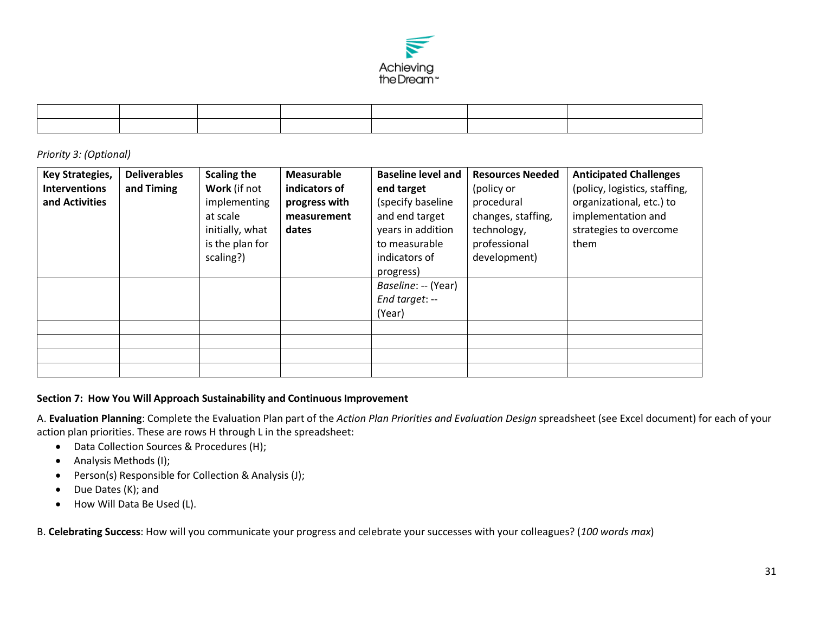

*Priority 3: (Optional)*

| <b>Key Strategies,</b> | <b>Deliverables</b> | <b>Scaling the</b> | Measurable    | <b>Baseline level and</b> | <b>Resources Needed</b> | <b>Anticipated Challenges</b> |
|------------------------|---------------------|--------------------|---------------|---------------------------|-------------------------|-------------------------------|
| <b>Interventions</b>   | and Timing          | Work (if not       | indicators of | end target                | (policy or              | (policy, logistics, staffing, |
| and Activities         |                     | implementing       | progress with | (specify baseline         | procedural              | organizational, etc.) to      |
|                        |                     | at scale           | measurement   | and end target            | changes, staffing,      | implementation and            |
|                        |                     | initially, what    | dates         | years in addition         | technology,             | strategies to overcome        |
|                        |                     | is the plan for    |               | to measurable             | professional            | them                          |
|                        |                     | scaling?)          |               | indicators of             | development)            |                               |
|                        |                     |                    |               | progress)                 |                         |                               |
|                        |                     |                    |               | Baseline: -- (Year)       |                         |                               |
|                        |                     |                    |               | End target: --            |                         |                               |
|                        |                     |                    |               | (Year)                    |                         |                               |
|                        |                     |                    |               |                           |                         |                               |
|                        |                     |                    |               |                           |                         |                               |
|                        |                     |                    |               |                           |                         |                               |
|                        |                     |                    |               |                           |                         |                               |

#### **Section 7: How You Will Approach Sustainability and Continuous Improvement**

A. **Evaluation Planning**: Complete the Evaluation Plan part of the *Action Plan Priorities and Evaluation Design* spreadsheet (see Excel document) for each of your action plan priorities. These are rows H through L in the spreadsheet:

- Data Collection Sources & Procedures (H);
- Analysis Methods (I);
- Person(s) Responsible for Collection & Analysis (J);
- Due Dates (K); and
- How Will Data Be Used (L).

B. **Celebrating Success**: How will you communicate your progress and celebrate your successes with your colleagues? (*100 words max*)